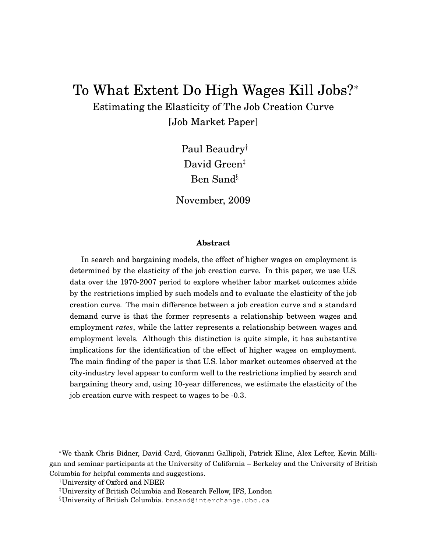# To What Extent Do High Wages Kill Jobs?<sup>∗</sup>

Estimating the Elasticity of The Job Creation Curve [Job Market Paper]

> Paul Beaudry† David Green<sup>‡</sup> Ben Sand§

November, 2009

#### **Abstract**

In search and bargaining models, the effect of higher wages on employment is determined by the elasticity of the job creation curve. In this paper, we use U.S. data over the 1970-2007 period to explore whether labor market outcomes abide by the restrictions implied by such models and to evaluate the elasticity of the job creation curve. The main difference between a job creation curve and a standard demand curve is that the former represents a relationship between wages and employment *rates*, while the latter represents a relationship between wages and employment levels. Although this distinction is quite simple, it has substantive implications for the identification of the effect of higher wages on employment. The main finding of the paper is that U.S. labor market outcomes observed at the city-industry level appear to conform well to the restrictions implied by search and bargaining theory and, using 10-year differences, we estimate the elasticity of the job creation curve with respect to wages to be -0.3.

<sup>∗</sup>We thank Chris Bidner, David Card, Giovanni Gallipoli, Patrick Kline, Alex Lefter, Kevin Milligan and seminar participants at the University of California – Berkeley and the University of British Columbia for helpful comments and suggestions.

<sup>†</sup>University of Oxford and NBER

<sup>‡</sup>University of British Columbia and Research Fellow, IFS, London

<sup>§</sup>University of British Columbia. bmsand@interchange.ubc.ca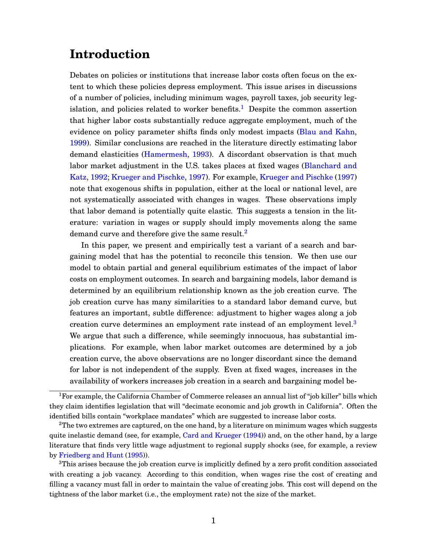## **Introduction**

Debates on policies or institutions that increase labor costs often focus on the extent to which these policies depress employment. This issue arises in discussions of a number of policies, including minimum wages, payroll taxes, job security leg-islation, and policies related to worker benefits.<sup>[1](#page-1-0)</sup> Despite the common assertion that higher labor costs substantially reduce aggregate employment, much of the evidence on policy parameter shifts finds only modest impacts [\(Blau and Kahn,](#page-42-0) [1999\)](#page-42-0). Similar conclusions are reached in the literature directly estimating labor demand elasticities [\(Hamermesh,](#page-43-0) [1993\)](#page-43-0). A discordant observation is that much labor market adjustment in the U.S. takes places at fixed wages [\(Blanchard and](#page-42-1) [Katz,](#page-42-1) [1992;](#page-42-1) [Krueger and Pischke,](#page-43-1) [1997\)](#page-43-1). For example, [Krueger and Pischke](#page-43-1) [\(1997\)](#page-43-1) note that exogenous shifts in population, either at the local or national level, are not systematically associated with changes in wages. These observations imply that labor demand is potentially quite elastic. This suggests a tension in the literature: variation in wages or supply should imply movements along the same demand curve and therefore give the same result.<sup>[2](#page-1-1)</sup>

In this paper, we present and empirically test a variant of a search and bargaining model that has the potential to reconcile this tension. We then use our model to obtain partial and general equilibrium estimates of the impact of labor costs on employment outcomes. In search and bargaining models, labor demand is determined by an equilibrium relationship known as the job creation curve. The job creation curve has many similarities to a standard labor demand curve, but features an important, subtle difference: adjustment to higher wages along a job creation curve determines an employment rate instead of an employment level.<sup>[3](#page-1-2)</sup> We argue that such a difference, while seemingly innocuous, has substantial implications. For example, when labor market outcomes are determined by a job creation curve, the above observations are no longer discordant since the demand for labor is not independent of the supply. Even at fixed wages, increases in the availability of workers increases job creation in a search and bargaining model be-

<span id="page-1-0"></span><sup>1</sup>For example, the California Chamber of Commerce releases an annual list of "job killer" bills which they claim identifies legislation that will "decimate economic and job growth in California". Often the identified bills contain "workplace mandates" which are suggested to increase labor costs.

<span id="page-1-1"></span><sup>&</sup>lt;sup>2</sup>The two extremes are captured, on the one hand, by a literature on minimum wages which suggests quite inelastic demand (see, for example, [Card and Krueger](#page-43-2) [\(1994\)](#page-43-2)) and, on the other hand, by a large literature that finds very little wage adjustment to regional supply shocks (see, for example, a review by [Friedberg and Hunt](#page-43-3) [\(1995\)](#page-43-3)).

<span id="page-1-2"></span><sup>&</sup>lt;sup>3</sup>This arises because the job creation curve is implicitly defined by a zero profit condition associated with creating a job vacancy. According to this condition, when wages rise the cost of creating and filling a vacancy must fall in order to maintain the value of creating jobs. This cost will depend on the tightness of the labor market (i.e., the employment rate) not the size of the market.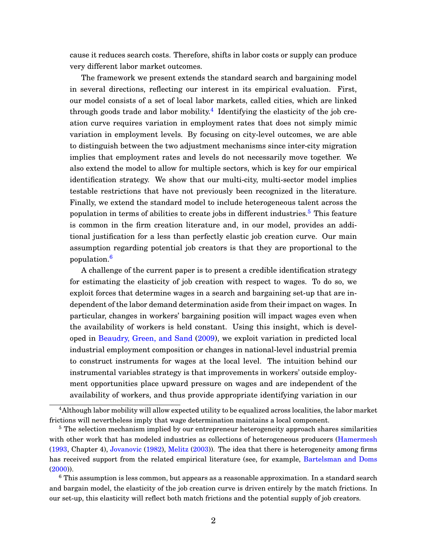cause it reduces search costs. Therefore, shifts in labor costs or supply can produce very different labor market outcomes.

The framework we present extends the standard search and bargaining model in several directions, reflecting our interest in its empirical evaluation. First, our model consists of a set of local labor markets, called cities, which are linked through goods trade and labor mobility.<sup>[4](#page-2-0)</sup> Identifying the elasticity of the job creation curve requires variation in employment rates that does not simply mimic variation in employment levels. By focusing on city-level outcomes, we are able to distinguish between the two adjustment mechanisms since inter-city migration implies that employment rates and levels do not necessarily move together. We also extend the model to allow for multiple sectors, which is key for our empirical identification strategy. We show that our multi-city, multi-sector model implies testable restrictions that have not previously been recognized in the literature. Finally, we extend the standard model to include heterogeneous talent across the population in terms of abilities to create jobs in different industries.<sup>[5](#page-2-1)</sup> This feature is common in the firm creation literature and, in our model, provides an additional justification for a less than perfectly elastic job creation curve. Our main assumption regarding potential job creators is that they are proportional to the population.[6](#page-2-2)

A challenge of the current paper is to present a credible identification strategy for estimating the elasticity of job creation with respect to wages. To do so, we exploit forces that determine wages in a search and bargaining set-up that are independent of the labor demand determination aside from their impact on wages. In particular, changes in workers' bargaining position will impact wages even when the availability of workers is held constant. Using this insight, which is developed in [Beaudry, Green, and Sand](#page-42-2) [\(2009\)](#page-42-2), we exploit variation in predicted local industrial employment composition or changes in national-level industrial premia to construct instruments for wages at the local level. The intuition behind our instrumental variables strategy is that improvements in workers' outside employment opportunities place upward pressure on wages and are independent of the availability of workers, and thus provide appropriate identifying variation in our

<span id="page-2-2"></span><sup>6</sup> This assumption is less common, but appears as a reasonable approximation. In a standard search and bargain model, the elasticity of the job creation curve is driven entirely by the match frictions. In our set-up, this elasticity will reflect both match frictions and the potential supply of job creators.

<span id="page-2-0"></span><sup>&</sup>lt;sup>4</sup>Although labor mobility will allow expected utility to be equalized across localities, the labor market frictions will nevertheless imply that wage determination maintains a local component.

<span id="page-2-1"></span><sup>&</sup>lt;sup>5</sup> The selection mechanism implied by our entrepreneur heterogeneity approach shares similarities with other work that has modeled industries as collections of heterogeneous producers [\(Hamermesh](#page-43-0) [\(1993,](#page-43-0) Chapter 4), [Jovanovic](#page-43-4) [\(1982\)](#page-43-4), [Melitz](#page-43-5) [\(2003\)](#page-43-5)). The idea that there is heterogeneity among firms has received support from the related empirical literature (see, for example, [Bartelsman and Doms](#page-42-3) [\(2000\)](#page-42-3)).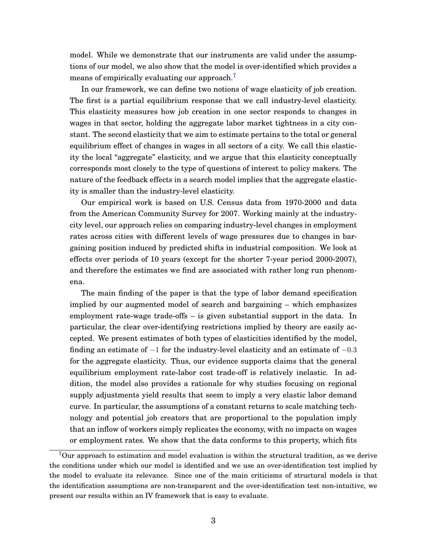model. While we demonstrate that our instruments are valid under the assumptions of our model, we also show that the model is over-identified which provides a means of empirically evaluating our approach.<sup>[7](#page-3-0)</sup>

In our framework, we can define two notions of wage elasticity of job creation. The first is a partial equilibrium response that we call industry-level elasticity. This elasticity measures how job creation in one sector responds to changes in wages in that sector, holding the aggregate labor market tightness in a city constant. The second elasticity that we aim to estimate pertains to the total or general equilibrium effect of changes in wages in all sectors of a city. We call this elasticity the local "aggregate" elasticity, and we argue that this elasticity conceptually corresponds most closely to the type of questions of interest to policy makers. The nature of the feedback effects in a search model implies that the aggregate elasticity is smaller than the industry-level elasticity.

Our empirical work is based on U.S. Census data from 1970-2000 and data from the American Community Survey for 2007. Working mainly at the industrycity level, our approach relies on comparing industry-level changes in employment rates across cities with different levels of wage pressures due to changes in bargaining position induced by predicted shifts in industrial composition. We look at effects over periods of 10 years (except for the shorter 7-year period 2000-2007), and therefore the estimates we find are associated with rather long run phenomena.

The main finding of the paper is that the type of labor demand specification implied by our augmented model of search and bargaining – which emphasizes employment rate-wage trade-offs – is given substantial support in the data. In particular, the clear over-identifying restrictions implied by theory are easily accepted. We present estimates of both types of elasticities identified by the model, finding an estimate of  $-1$  for the industry-level elasticity and an estimate of  $-0.3$ for the aggregate elasticity. Thus, our evidence supports claims that the general equilibrium employment rate-labor cost trade-off is relatively inelastic. In addition, the model also provides a rationale for why studies focusing on regional supply adjustments yield results that seem to imply a very elastic labor demand curve. In particular, the assumptions of a constant returns to scale matching technology and potential job creators that are proportional to the population imply that an inflow of workers simply replicates the economy, with no impacts on wages or employment rates. We show that the data conforms to this property, which fits

<span id="page-3-0"></span><sup>7</sup>Our approach to estimation and model evaluation is within the structural tradition, as we derive the conditions under which our model is identified and we use an over-identification test implied by the model to evaluate its relevance. Since one of the main criticisms of structural models is that the identification assumptions are non-transparent and the over-identification test non-intuitive, we present our results within an IV framework that is easy to evaluate.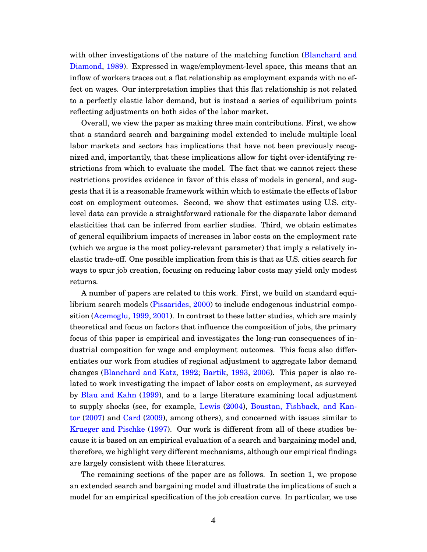with other investigations of the nature of the matching function [\(Blanchard and](#page-42-4) [Diamond,](#page-42-4) [1989\)](#page-42-4). Expressed in wage/employment-level space, this means that an inflow of workers traces out a flat relationship as employment expands with no effect on wages. Our interpretation implies that this flat relationship is not related to a perfectly elastic labor demand, but is instead a series of equilibrium points reflecting adjustments on both sides of the labor market.

Overall, we view the paper as making three main contributions. First, we show that a standard search and bargaining model extended to include multiple local labor markets and sectors has implications that have not been previously recognized and, importantly, that these implications allow for tight over-identifying restrictions from which to evaluate the model. The fact that we cannot reject these restrictions provides evidence in favor of this class of models in general, and suggests that it is a reasonable framework within which to estimate the effects of labor cost on employment outcomes. Second, we show that estimates using U.S. citylevel data can provide a straightforward rationale for the disparate labor demand elasticities that can be inferred from earlier studies. Third, we obtain estimates of general equilibrium impacts of increases in labor costs on the employment rate (which we argue is the most policy-relevant parameter) that imply a relatively inelastic trade-off. One possible implication from this is that as U.S. cities search for ways to spur job creation, focusing on reducing labor costs may yield only modest returns.

A number of papers are related to this work. First, we build on standard equilibrium search models [\(Pissarides,](#page-44-0) [2000\)](#page-44-0) to include endogenous industrial composition [\(Acemoglu,](#page-42-5) [1999,](#page-42-5) [2001\)](#page-42-6). In contrast to these latter studies, which are mainly theoretical and focus on factors that influence the composition of jobs, the primary focus of this paper is empirical and investigates the long-run consequences of industrial composition for wage and employment outcomes. This focus also differentiates our work from studies of regional adjustment to aggregate labor demand changes [\(Blanchard and Katz,](#page-42-1) [1992;](#page-42-1) [Bartik,](#page-42-7) [1993,](#page-42-7) [2006\)](#page-42-8). This paper is also related to work investigating the impact of labor costs on employment, as surveyed by [Blau and Kahn](#page-42-0) [\(1999\)](#page-42-0), and to a large literature examining local adjustment to supply shocks (see, for example, [Lewis](#page-43-6) [\(2004\)](#page-43-6), [Boustan, Fishback, and Kan](#page-42-9)[tor](#page-42-9) [\(2007\)](#page-42-9) and [Card](#page-43-7) [\(2009\)](#page-43-7), among others), and concerned with issues similar to [Krueger and Pischke](#page-43-1) [\(1997\)](#page-43-1). Our work is different from all of these studies because it is based on an empirical evaluation of a search and bargaining model and, therefore, we highlight very different mechanisms, although our empirical findings are largely consistent with these literatures.

The remaining sections of the paper are as follows. In section 1, we propose an extended search and bargaining model and illustrate the implications of such a model for an empirical specification of the job creation curve. In particular, we use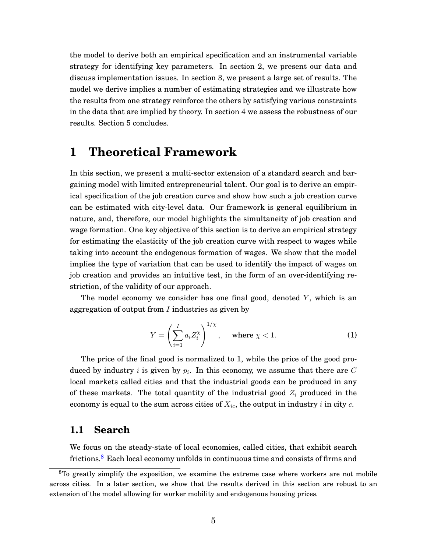the model to derive both an empirical specification and an instrumental variable strategy for identifying key parameters. In section 2, we present our data and discuss implementation issues. In section 3, we present a large set of results. The model we derive implies a number of estimating strategies and we illustrate how the results from one strategy reinforce the others by satisfying various constraints in the data that are implied by theory. In section 4 we assess the robustness of our results. Section 5 concludes.

## <span id="page-5-1"></span>**1 Theoretical Framework**

In this section, we present a multi-sector extension of a standard search and bargaining model with limited entrepreneurial talent. Our goal is to derive an empirical specification of the job creation curve and show how such a job creation curve can be estimated with city-level data. Our framework is general equilibrium in nature, and, therefore, our model highlights the simultaneity of job creation and wage formation. One key objective of this section is to derive an empirical strategy for estimating the elasticity of the job creation curve with respect to wages while taking into account the endogenous formation of wages. We show that the model implies the type of variation that can be used to identify the impact of wages on job creation and provides an intuitive test, in the form of an over-identifying restriction, of the validity of our approach.

The model economy we consider has one final good, denoted  $Y$ , which is an aggregation of output from  $I$  industries as given by

$$
Y = \left(\sum_{i=1}^{I} a_i Z_i^{\chi}\right)^{1/\chi}, \quad \text{where } \chi < 1. \tag{1}
$$

The price of the final good is normalized to 1, while the price of the good produced by industry  $i$  is given by  $p_i$ . In this economy, we assume that there are  $C$ local markets called cities and that the industrial goods can be produced in any of these markets. The total quantity of the industrial good  $Z_i$  produced in the economy is equal to the sum across cities of  $X_{ic}$ , the output in industry i in city c.

#### **1.1 Search**

We focus on the steady-state of local economies, called cities, that exhibit search frictions.[8](#page-5-0) Each local economy unfolds in continuous time and consists of firms and

<span id="page-5-0"></span> $8T_0$  greatly simplify the exposition, we examine the extreme case where workers are not mobile across cities. In a later section, we show that the results derived in this section are robust to an extension of the model allowing for worker mobility and endogenous housing prices.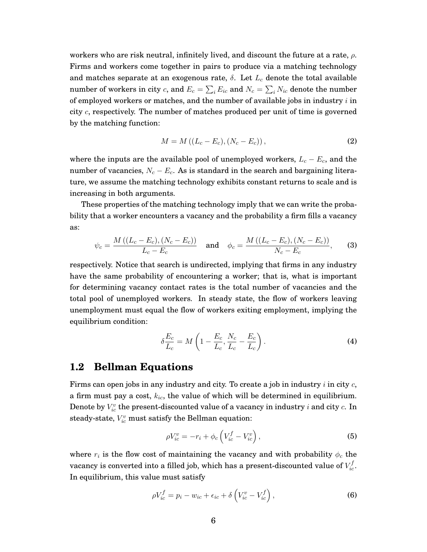workers who are risk neutral, infinitely lived, and discount the future at a rate,  $\rho$ . Firms and workers come together in pairs to produce via a matching technology and matches separate at an exogenous rate,  $\delta$ . Let  $L_c$  denote the total available number of workers in city  $c,$  and  $E_c = \sum_i E_{ic}$  and  $N_c = \sum_i N_{ic}$  denote the number of employed workers or matches, and the number of available jobs in industry  $i$  in city  $c$ , respectively. The number of matches produced per unit of time is governed by the matching function:

$$
M = M((L_c - E_c), (N_c - E_c)),
$$
\n(2)

where the inputs are the available pool of unemployed workers,  $L_c - E_c$ , and the number of vacancies,  $N_c - E_c$ . As is standard in the search and bargaining literature, we assume the matching technology exhibits constant returns to scale and is increasing in both arguments.

These properties of the matching technology imply that we can write the probability that a worker encounters a vacancy and the probability a firm fills a vacancy as:

$$
\psi_c = \frac{M((L_c - E_c), (N_c - E_c))}{L_c - E_c} \quad \text{and} \quad \phi_c = \frac{M((L_c - E_c), (N_c - E_c))}{N_c - E_c}, \tag{3}
$$

respectively. Notice that search is undirected, implying that firms in any industry have the same probability of encountering a worker; that is, what is important for determining vacancy contact rates is the total number of vacancies and the total pool of unemployed workers. In steady state, the flow of workers leaving unemployment must equal the flow of workers exiting employment, implying the equilibrium condition:

<span id="page-6-0"></span>
$$
\delta \frac{E_c}{L_c} = M \left( 1 - \frac{E_c}{L_c}, \frac{N_c}{L_c} - \frac{E_c}{L_c} \right). \tag{4}
$$

#### **1.2 Bellman Equations**

Firms can open jobs in any industry and city. To create a job in industry i in city  $c$ , a firm must pay a cost,  $k_{ic}$ , the value of which will be determined in equilibrium. Denote by  $V_{ic}^v$  the present-discounted value of a vacancy in industry  $i$  and city  $c$ . In steady-state,  $V_{ic}^v$  must satisfy the Bellman equation:

<span id="page-6-2"></span><span id="page-6-1"></span>
$$
\rho V_{ic}^v = -r_i + \phi_c \left( V_{ic}^f - V_{ic}^v \right),\tag{5}
$$

where  $r_i$  is the flow cost of maintaining the vacancy and with probability  $\phi_c$  the vacancy is converted into a filled job, which has a present-discounted value of  $V_{ic}^f$ . In equilibrium, this value must satisfy

$$
\rho V_{ic}^f = p_i - w_{ic} + \epsilon_{ic} + \delta \left( V_{ic}^v - V_{ic}^f \right), \tag{6}
$$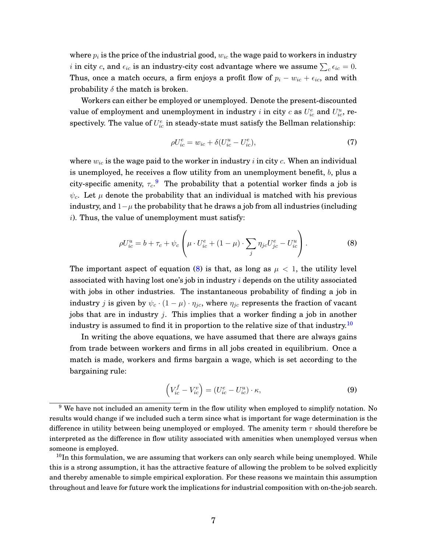where  $p_i$  is the price of the industrial good,  $w_{ic}$  the wage paid to workers in industry  $i$  in city  $c,$  and  $\epsilon_{ic}$  is an industry-city cost advantage where we assume  $\sum_c \epsilon_{ic} = 0.$ Thus, once a match occurs, a firm enjoys a profit flow of  $p_i - w_{ic} + \epsilon_{ic}$ , and with probability  $\delta$  the match is broken.

Workers can either be employed or unemployed. Denote the present-discounted value of employment and unemployment in industry  $i$  in city  $c$  as  $U_{ic}^e$  and  $U_{ic}^u$ , respectively. The value of  $U^e_{ic}$  in steady-state must satisfy the Bellman relationship:

<span id="page-7-3"></span><span id="page-7-1"></span>
$$
\rho U_{ic}^e = w_{ic} + \delta (U_{ic}^u - U_{ic}^e),\tag{7}
$$

where  $w_{ic}$  is the wage paid to the worker in industry i in city c. When an individual is unemployed, he receives a flow utility from an unemployment benefit,  $b$ , plus a city-specific amenity,  $\tau_c$ . The probability that a potential worker finds a job is  $\psi_c$ . Let  $\mu$  denote the probability that an individual is matched with his previous industry, and  $1-\mu$  the probability that he draws a job from all industries (including i). Thus, the value of unemployment must satisfy:

$$
\rho U_{ic}^{u} = b + \tau_c + \psi_c \left( \mu \cdot U_{ic}^e + (1 - \mu) \cdot \sum_j \eta_{jc} U_{jc}^e - U_{ic}^u \right). \tag{8}
$$

The important aspect of equation [\(8\)](#page-7-1) is that, as long as  $\mu < 1$ , the utility level associated with having lost one's job in industry i depends on the utility associated with jobs in other industries. The instantaneous probability of finding a job in industry *j* is given by  $\psi_c \cdot (1 - \mu) \cdot \eta_{jc}$ , where  $\eta_{jc}$  represents the fraction of vacant jobs that are in industry  $j$ . This implies that a worker finding a job in another industry is assumed to find it in proportion to the relative size of that industry.<sup>[10](#page-7-2)</sup>

In writing the above equations, we have assumed that there are always gains from trade between workers and firms in all jobs created in equilibrium. Once a match is made, workers and firms bargain a wage, which is set according to the bargaining rule:

<span id="page-7-4"></span>
$$
\left(V_{ic}^f - V_{ic}^v\right) = \left(U_{ic}^e - U_{ic}^u\right) \cdot \kappa,\tag{9}
$$

<span id="page-7-0"></span><sup>&</sup>lt;sup>9</sup> We have not included an amenity term in the flow utility when employed to simplify notation. No results would change if we included such a term since what is important for wage determination is the difference in utility between being unemployed or employed. The amenity term  $\tau$  should therefore be interpreted as the difference in flow utility associated with amenities when unemployed versus when someone is employed.

<span id="page-7-2"></span> $10$ In this formulation, we are assuming that workers can only search while being unemployed. While this is a strong assumption, it has the attractive feature of allowing the problem to be solved explicitly and thereby amenable to simple empirical exploration. For these reasons we maintain this assumption throughout and leave for future work the implications for industrial composition with on-the-job search.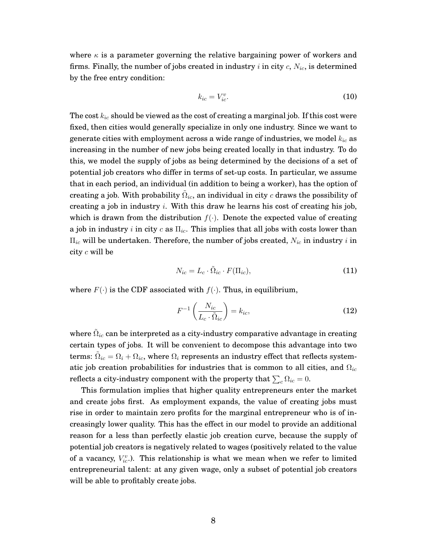where  $\kappa$  is a parameter governing the relative bargaining power of workers and firms. Finally, the number of jobs created in industry  $i$  in city  $c$ ,  $N_{ic}$ , is determined by the free entry condition:

<span id="page-8-0"></span>
$$
k_{ic} = V_{ic}^v.
$$
 (10)

The cost  $k_{ic}$  should be viewed as the cost of creating a marginal job. If this cost were fixed, then cities would generally specialize in only one industry. Since we want to generate cities with employment across a wide range of industries, we model  $k_{ic}$  as increasing in the number of new jobs being created locally in that industry. To do this, we model the supply of jobs as being determined by the decisions of a set of potential job creators who differ in terms of set-up costs. In particular, we assume that in each period, an individual (in addition to being a worker), has the option of creating a job. With probability  $\tilde{\Omega}_{ic}$ , an individual in city  $c$  draws the possibility of creating a job in industry  $i$ . With this draw he learns his cost of creating his job, which is drawn from the distribution  $f(.)$ . Denote the expected value of creating a job in industry i in city c as  $\Pi_{ic}$ . This implies that all jobs with costs lower than  $\Pi_{ic}$  will be undertaken. Therefore, the number of jobs created,  $N_{ic}$  in industry i in city c will be

$$
N_{ic} = L_c \cdot \tilde{\Omega}_{ic} \cdot F(\Pi_{ic}),\tag{11}
$$

where  $F(\cdot)$  is the CDF associated with  $f(\cdot)$ . Thus, in equilibrium,

$$
F^{-1}\left(\frac{N_{ic}}{L_c \cdot \tilde{\Omega}_{ic}}\right) = k_{ic},\tag{12}
$$

where  $\tilde{\Omega}_{ic}$  can be interpreted as a city-industry comparative advantage in creating certain types of jobs. It will be convenient to decompose this advantage into two terms:  $\tilde{\Omega}_{ic}=\Omega_i+\Omega_{ic},$  where  $\Omega_i$  represents an industry effect that reflects systematic job creation probabilities for industries that is common to all cities, and  $\Omega_{ic}$ reflects a city-industry component with the property that  $\sum_c \Omega_{ic} = 0.$ 

This formulation implies that higher quality entrepreneurs enter the market and create jobs first. As employment expands, the value of creating jobs must rise in order to maintain zero profits for the marginal entrepreneur who is of increasingly lower quality. This has the effect in our model to provide an additional reason for a less than perfectly elastic job creation curve, because the supply of potential job creators is negatively related to wages (positively related to the value of a vacancy,  $V_{ic}^v$ .). This relationship is what we mean when we refer to limited entrepreneurial talent: at any given wage, only a subset of potential job creators will be able to profitably create jobs.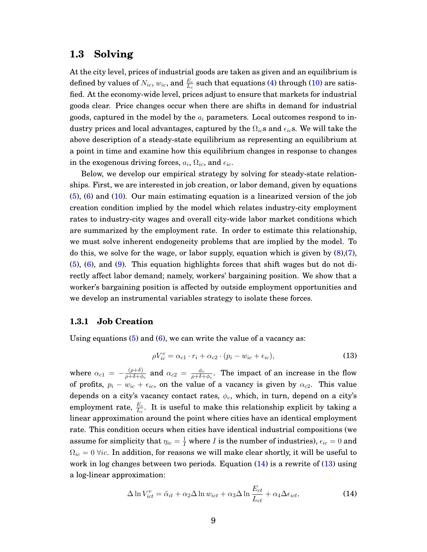#### **1.3 Solving**

At the city level, prices of industrial goods are taken as given and an equilibrium is defined by values of  $N_{ic},$   $w_{ic},$  and  $\frac{E_c}{L_c}$  such that equations [\(4\)](#page-6-0) through [\(10\)](#page-8-0) are satisfied. At the economy-wide level, prices adjust to ensure that markets for industrial goods clear. Price changes occur when there are shifts in demand for industrial goods, captured in the model by the  $a_i$  parameters. Local outcomes respond to industry prices and local advantages, captured by the  $\Omega_{ic}$ s and  $\epsilon_{ic}$ s. We will take the above description of a steady-state equilibrium as representing an equilibrium at a point in time and examine how this equilibrium changes in response to changes in the exogenous driving forces,  $a_i, \Omega_{ic},$  and  $\epsilon_{ic}.$ 

Below, we develop our empirical strategy by solving for steady-state relationships. First, we are interested in job creation, or labor demand, given by equations [\(5\)](#page-6-1), [\(6\)](#page-6-2) and [\(10\)](#page-8-0). Our main estimating equation is a linearized version of the job creation condition implied by the model which relates industry-city employment rates to industry-city wages and overall city-wide labor market conditions which are summarized by the employment rate. In order to estimate this relationship, we must solve inherent endogeneity problems that are implied by the model. To do this, we solve for the wage, or labor supply, equation which is given by [\(8\)](#page-7-1),[\(7\)](#page-7-3), [\(5\)](#page-6-1), [\(6\)](#page-6-2), and [\(9\)](#page-7-4). This equation highlights forces that shift wages but do not directly affect labor demand; namely, workers' bargaining position. We show that a worker's bargaining position is affected by outside employment opportunities and we develop an instrumental variables strategy to isolate these forces.

#### **1.3.1 Job Creation**

Using equations  $(5)$  and  $(6)$ , we can write the value of a vacancy as:

<span id="page-9-1"></span>
$$
\rho V_{ic}^v = \alpha_{c1} \cdot r_i + \alpha_{c2} \cdot (p_i - w_{ic} + \epsilon_{ic}), \tag{13}
$$

where  $\alpha_{c1} = -\frac{(\rho+\delta)}{\rho+\delta+\delta}$  $\frac{(\rho + \delta)}{\rho + \delta + \phi_c}$  and  $\alpha_{c2}$   $=$   $\frac{\phi_c}{\rho + \delta + \phi_c}$  $\frac{\phi_c}{\rho + \delta + \phi_c}$ . The impact of an increase in the flow of profits,  $p_i - w_{ic} + \epsilon_{ic}$ , on the value of a vacancy is given by  $\alpha_{c2}$ . This value depends on a city's vacancy contact rates,  $\phi_c$ , which, in turn, depend on a city's employment rate,  $\frac{E_c}{L_c}$ . It is useful to make this relationship explicit by taking a linear approximation around the point where cities have an identical employment rate. This condition occurs when cities have identical industrial compositions (we assume for simplicity that  $\eta_{ic} = \frac{1}{I}$  where  $I$  is the number of industries),  $\epsilon_{ic} = 0$  and  $\Omega_{ic} = 0$   $\forall ic$ . In addition, for reasons we will make clear shortly, it will be useful to work in log changes between two periods. Equation  $(14)$  is a rewrite of  $(13)$  using a log-linear approximation:

<span id="page-9-0"></span>
$$
\Delta \ln V_{ict}^v = \tilde{\alpha}_{it} + \alpha_2 \Delta \ln w_{ict} + \alpha_3 \Delta \ln \frac{E_{ct}}{L_{ct}} + \alpha_4 \Delta \epsilon_{ict}, \tag{14}
$$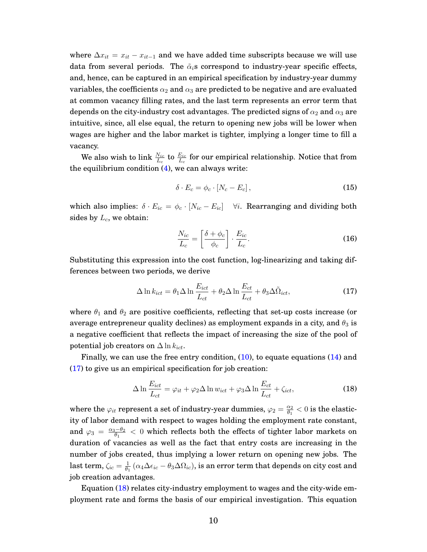where  $\Delta x_{it} = x_{it} - x_{it-1}$  and we have added time subscripts because we will use data from several periods. The  $\tilde{\alpha}_i$ s correspond to industry-year specific effects, and, hence, can be captured in an empirical specification by industry-year dummy variables, the coefficients  $\alpha_2$  and  $\alpha_3$  are predicted to be negative and are evaluated at common vacancy filling rates, and the last term represents an error term that depends on the city-industry cost advantages. The predicted signs of  $\alpha_2$  and  $\alpha_3$  are intuitive, since, all else equal, the return to opening new jobs will be lower when wages are higher and the labor market is tighter, implying a longer time to fill a vacancy.

We also wish to link  $\frac{N_{ic}}{L_c}$  to  $\frac{E_{ic}}{L_c}$  for our empirical relationship. Notice that from the equilibrium condition  $(4)$ , we can always write:

$$
\delta \cdot E_c = \phi_c \cdot [N_c - E_c], \qquad (15)
$$

which also implies:  $\delta \cdot E_{ic} = \phi_c \cdot [N_{ic} - E_{ic}]$   $\forall i$ . Rearranging and dividing both sides by  $L_c$ , we obtain:

<span id="page-10-0"></span>
$$
\frac{N_{ic}}{L_c} = \left[\frac{\delta + \phi_c}{\phi_c}\right] \cdot \frac{E_{ic}}{L_c}.\tag{16}
$$

Substituting this expression into the cost function, log-linearizing and taking differences between two periods, we derive

$$
\Delta \ln k_{ict} = \theta_1 \Delta \ln \frac{E_{ict}}{L_{ct}} + \theta_2 \Delta \ln \frac{E_{ct}}{L_{ct}} + \theta_3 \Delta \tilde{\Omega}_{ict},
$$
\n(17)

where  $\theta_1$  and  $\theta_2$  are positive coefficients, reflecting that set-up costs increase (or average entrepreneur quality declines) as employment expands in a city, and  $\theta_3$  is a negative coefficient that reflects the impact of increasing the size of the pool of potential job creators on  $\Delta \ln k_{ict}$ .

Finally, we can use the free entry condition, [\(10\)](#page-8-0), to equate equations [\(14\)](#page-9-0) and [\(17\)](#page-10-0) to give us an empirical specification for job creation:

<span id="page-10-1"></span>
$$
\Delta \ln \frac{E_{ict}}{L_{ct}} = \varphi_{it} + \varphi_2 \Delta \ln w_{ict} + \varphi_3 \Delta \ln \frac{E_{ct}}{L_{ct}} + \zeta_{ict},
$$
\n(18)

where the  $\varphi_{it}$  represent a set of industry-year dummies,  $\varphi_2 = \frac{\alpha_2}{\theta_1}$  $\frac{\alpha_2}{\theta_1} < 0 \text{ is the elastic-}$ ity of labor demand with respect to wages holding the employment rate constant, and  $\varphi_3 = \frac{\alpha_3 - \theta_2}{\theta_1}$  $\frac{d_1-d_2}{d_1}< 0$  which reflects both the effects of tighter labor markets on duration of vacancies as well as the fact that entry costs are increasing in the number of jobs created, thus implying a lower return on opening new jobs. The  $\operatorname{last}$  term,  $\zeta_{ic} = \frac{1}{\theta_1}$  $\frac{1}{\theta_1}\left(\alpha_4\Delta\epsilon_{ic}-\theta_3\Delta\Omega_{ic}\right)$ , is an error term that depends on city cost and job creation advantages.

Equation [\(18\)](#page-10-1) relates city-industry employment to wages and the city-wide employment rate and forms the basis of our empirical investigation. This equation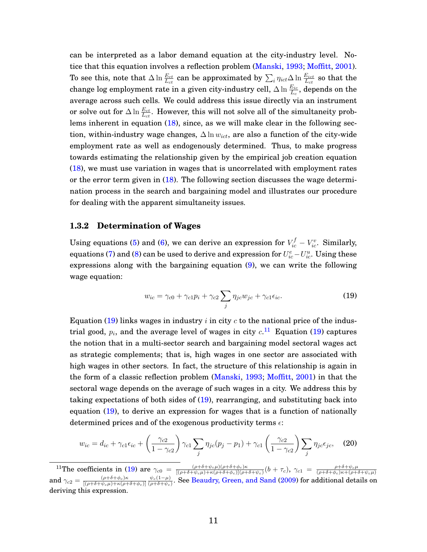can be interpreted as a labor demand equation at the city-industry level. Notice that this equation involves a reflection problem [\(Manski,](#page-43-8) [1993;](#page-43-8) [Moffitt,](#page-44-1) [2001\)](#page-44-1). To see this, note that  $\Delta\ln\frac{E_{ct}}{L_{ct}}$  can be approximated by  $\sum_i\eta_{ict}\Delta\ln\frac{E_{ict}}{L_{ct}}$  so that the change log employment rate in a given city-industry cell,  $\Delta\ln\frac{E_{ic}}{L_c},$  depends on the average across such cells. We could address this issue directly via an instrument or solve out for  $\Delta \ln \frac{E_{ct}}{L_{ct}}.$  However, this will not solve all of the simultaneity problems inherent in equation [\(18\)](#page-10-1), since, as we will make clear in the following section, within-industry wage changes,  $\Delta \ln w_{ict}$ , are also a function of the city-wide employment rate as well as endogenously determined. Thus, to make progress towards estimating the relationship given by the empirical job creation equation [\(18\)](#page-10-1), we must use variation in wages that is uncorrelated with employment rates or the error term given in [\(18\)](#page-10-1). The following section discusses the wage determination process in the search and bargaining model and illustrates our procedure for dealing with the apparent simultaneity issues.

#### **1.3.2 Determination of Wages**

Using equations [\(5\)](#page-6-1) and [\(6\)](#page-6-2), we can derive an expression for  $V_{ic}^{f} - V_{ic}^{v}$ . Similarly, equations [\(7\)](#page-7-3) and [\(8\)](#page-7-1) can be used to derive and expression for  $U^e_{ic} - U^u_{ic}$ . Using these expressions along with the bargaining equation [\(9\)](#page-7-4), we can write the following wage equation:

<span id="page-11-2"></span><span id="page-11-0"></span>
$$
w_{ic} = \gamma_{c0} + \gamma_{c1} p_i + \gamma_{c2} \sum_j \eta_{jc} w_{jc} + \gamma_{c1} \epsilon_{ic}.
$$
 (19)

Equation [\(19\)](#page-11-0) links wages in industry i in city c to the national price of the industrial good,  $p_i$ , and the average level of wages in city  $c$ .<sup>[11](#page-11-1)</sup> Equation [\(19\)](#page-11-0) captures the notion that in a multi-sector search and bargaining model sectoral wages act as strategic complements; that is, high wages in one sector are associated with high wages in other sectors. In fact, the structure of this relationship is again in the form of a classic reflection problem [\(Manski,](#page-43-8) [1993;](#page-43-8) [Moffitt,](#page-44-1) [2001\)](#page-44-1) in that the sectoral wage depends on the average of such wages in a city. We address this by taking expectations of both sides of [\(19\)](#page-11-0), rearranging, and substituting back into equation [\(19\)](#page-11-0), to derive an expression for wages that is a function of nationally determined prices and of the exogenous productivity terms  $\epsilon$ :

$$
w_{ic} = d_{ic} + \gamma_{c1}\epsilon_{ic} + \left(\frac{\gamma_{c2}}{1 - \gamma_{c2}}\right)\gamma_{c1} \sum_{j} \eta_{jc}(p_j - p_1) + \gamma_{c1}\left(\frac{\gamma_{c2}}{1 - \gamma_{c2}}\right) \sum_{j} \eta_{jc}\epsilon_{jc}, \quad (20)
$$

<span id="page-11-1"></span><sup>&</sup>lt;sup>11</sup>The coefficients in [\(19\)](#page-11-0) are  $\gamma_{c0} = \frac{(\rho + \delta + \psi_c \mu)(\rho + \delta + \phi_c)\kappa}{[(\rho + \delta + \psi_c \mu)(\rho + \delta + \phi_c)(\rho + \delta + \phi_c)]}$  $\frac{(\rho+\delta+\psi_c\mu)(\rho+\delta+\phi_c)\kappa}{[(\rho+\delta+\psi_c\mu)+\kappa(\rho+\delta+\phi_c)](\rho+\delta+\psi_c)}(b+\tau_c), \ \gamma_{c1} \ = \ \frac{\rho+\delta+\psi_c\mu}{(\rho+\delta+\phi_c)\kappa+(\rho+\delta+\psi_c\mu)}$ and  $\gamma_{c2} = \frac{(\rho + \delta + \phi_c)\kappa}{[(\rho + \delta + \psi_c)\mu + \kappa(\rho + \phi_c)]^2}$  $[(\rho+\delta+\psi_c\mu)+\kappa(\rho+\delta+\phi_c)]$  $\psi_c(1-\mu)$  $\frac{\psi_c(1-\mu)}{(\rho+\delta+\psi_c)}$ . See [Beaudry, Green, and Sand](#page-42-2) [\(2009\)](#page-42-2) for additional details on deriving this expression.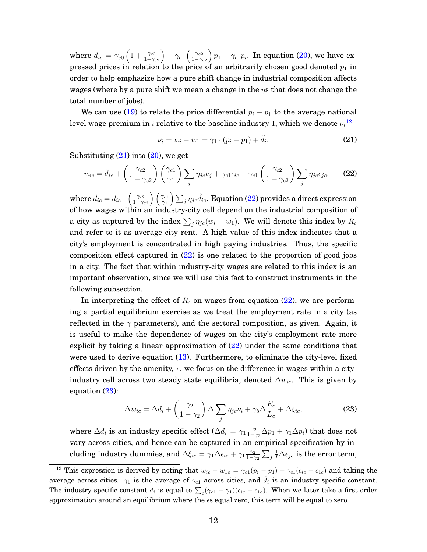where  $d_{ic} = \gamma_{c0} \left( 1 + \frac{\gamma_{c2}}{1 - \gamma_{c2}} \right)$  $+\gamma_{c1}\left(\frac{\gamma_{c2}}{1-\gamma_{c2}}\right)$  $1-\gamma_{c2}$  $\Big)$   $p_1 + \gamma_{c1} p_i$ . In equation [\(20\)](#page-11-2), we have expressed prices in relation to the price of an arbitrarily chosen good denoted  $p_1$  in order to help emphasize how a pure shift change in industrial composition affects wages (where by a pure shift we mean a change in the  $\eta s$  that does not change the total number of jobs).

We can use [\(19\)](#page-11-0) to relate the price differential  $p_i - p_1$  to the average national level wage premium in  $i$  relative to the baseline industry 1, which we denote  $\nu_i{}^{12}$  $\nu_i{}^{12}$  $\nu_i{}^{12}$ 

<span id="page-12-2"></span><span id="page-12-1"></span>
$$
\nu_i = w_i - w_1 = \gamma_1 \cdot (p_i - p_1) + \hat{d}_i. \tag{21}
$$

Substituting  $(21)$  into  $(20)$ , we get

$$
w_{ic} = \tilde{d}_{ic} + \left(\frac{\gamma_{c2}}{1 - \gamma_{c2}}\right) \left(\frac{\gamma_{c1}}{\gamma_1}\right) \sum_j \eta_{jc} \nu_j + \gamma_{c1} \epsilon_{ic} + \gamma_{c1} \left(\frac{\gamma_{c2}}{1 - \gamma_{c2}}\right) \sum_j \eta_{jc} \epsilon_{jc},\tag{22}
$$

where  $\tilde{d}_{ic} = d_{ic} + \left(\frac{\gamma_{c2}}{1-\gamma_{c}}\right)$  $1-\gamma_{c2}$  $\big\}$  (  $\gamma_{c1}$  $\left(\frac{\gamma_{c1}}{\gamma_1}\right)\sum_j\eta_{jc}\hat{d}_{ic}.$  Equation [\(22\)](#page-12-2) provides a direct expression of how wages within an industry-city cell depend on the industrial composition of a city as captured by the index  $\sum_j \eta_{jc}(w_i - w_1)$ . We will denote this index by  $R_c$ and refer to it as average city rent. A high value of this index indicates that a city's employment is concentrated in high paying industries. Thus, the specific composition effect captured in [\(22\)](#page-12-2) is one related to the proportion of good jobs in a city. The fact that within industry-city wages are related to this index is an important observation, since we will use this fact to construct instruments in the following subsection.

In interpreting the effect of  $R_c$  on wages from equation [\(22\)](#page-12-2), we are performing a partial equilibrium exercise as we treat the employment rate in a city (as reflected in the  $\gamma$  parameters), and the sectoral composition, as given. Again, it is useful to make the dependence of wages on the city's employment rate more explicit by taking a linear approximation of [\(22\)](#page-12-2) under the same conditions that were used to derive equation [\(13\)](#page-9-1). Furthermore, to eliminate the city-level fixed effects driven by the amenity,  $\tau$ , we focus on the difference in wages within a cityindustry cell across two steady state equilibria, denoted  $\Delta w_{ic}$ . This is given by equation [\(23\)](#page-12-3):

<span id="page-12-3"></span>
$$
\Delta w_{ic} = \Delta d_i + \left(\frac{\gamma_2}{1 - \gamma_2}\right) \Delta \sum_j \eta_{jc} \nu_i + \gamma_5 \Delta \frac{E_c}{L_c} + \Delta \xi_{ic},\tag{23}
$$

where  $\Delta d_i$  is an industry specific effect ( $\Delta d_i = \gamma_1 \frac{\gamma_2}{1-\gamma_1}$  $\frac{\gamma_2}{1-\gamma_2}\Delta p_1 + \gamma_1\Delta p_i)$  that does not vary across cities, and hence can be captured in an empirical specification by including industry dummies, and  $\Delta \xi_{ic} = \gamma_1 \Delta \epsilon_{ic} + \gamma_1 \frac{\gamma_2}{1-\gamma_1}$  $\frac{\gamma_2}{1-\gamma_2}\sum_j \frac{1}{I}\Delta\epsilon_{jc}$  is the error term,

<span id="page-12-0"></span><sup>&</sup>lt;sup>12</sup> This expression is derived by noting that  $w_{ic} - w_{1c} = \gamma_{c1}(p_i - p_1) + \gamma_{c1}(\epsilon_{ic} - \epsilon_{1c})$  and taking the average across cities.  $\gamma_1$  is the average of  $\gamma_{c1}$  across cities, and  $\hat{d}_i$  is an industry specific constant. The industry specific constant  $\hat{d}_i$  is equal to  $\sum_c(\gamma_{c1}-\gamma_1)(\epsilon_{ic}-\epsilon_{1c}).$  When we later take a first order approximation around an equilibrium where the  $\epsilon s$  equal zero, this term will be equal to zero.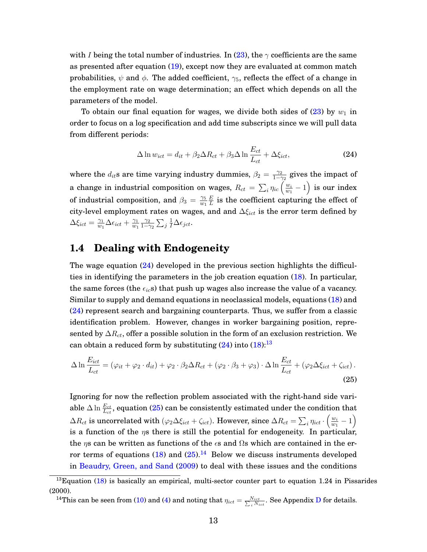with I being the total number of industries. In [\(23\)](#page-12-3), the  $\gamma$  coefficients are the same as presented after equation [\(19\)](#page-11-0), except now they are evaluated at common match probabilities,  $\psi$  and  $\phi$ . The added coefficient,  $\gamma_5$ , reflects the effect of a change in the employment rate on wage determination; an effect which depends on all the parameters of the model.

To obtain our final equation for wages, we divide both sides of [\(23\)](#page-12-3) by  $w_1$  in order to focus on a log specification and add time subscripts since we will pull data from different periods:

<span id="page-13-0"></span>
$$
\Delta \ln w_{ict} = d_{it} + \beta_2 \Delta R_{ct} + \beta_3 \Delta \ln \frac{E_{ct}}{L_{ct}} + \Delta \xi_{ict}, \tag{24}
$$

where the  $d_{it}$ s are time varying industry dummies,  $\beta_2 = \frac{\gamma_2}{1-\gamma_1}$  $\frac{\gamma_2}{1-\gamma_2}$  gives the impact of a change in industrial composition on wages,  $R_{ct} \, = \, \sum_i \eta_{ic} \left( \frac{w_i}{w_1} \right)$  $\left(\frac{w_i}{w_1}-1\right)$  is our index of industrial composition, and  $\beta_3 = \frac{\gamma_5}{w_1}$  $w_1$ E  $\frac{E}{L}$  is the coefficient capturing the effect of city-level employment rates on wages, and and  $\Delta \xi_{ict}$  is the error term defined by  $\Delta \xi_{ict} = \frac{\gamma_1}{w_1}$  $\frac{\gamma_1}{w_1}\Delta \epsilon_{ict} + \frac{\gamma_1}{w_1}$  $\overline{w_1}$  $\gamma_2$  $\frac{\gamma_2}{1-\gamma_2}\sum_j \frac{1}{I}\Delta \epsilon_{jct}.$ 

### <span id="page-13-4"></span>**1.4 Dealing with Endogeneity**

The wage equation [\(24\)](#page-13-0) developed in the previous section highlights the difficulties in identifying the parameters in the job creation equation [\(18\)](#page-10-1). In particular, the same forces (the  $\epsilon_{ic}$ s) that push up wages also increase the value of a vacancy. Similar to supply and demand equations in neoclassical models, equations [\(18\)](#page-10-1) and [\(24\)](#page-13-0) represent search and bargaining counterparts. Thus, we suffer from a classic identification problem. However, changes in worker bargaining position, represented by  $\Delta R_{ct}$ , offer a possible solution in the form of an exclusion restriction. We can obtain a reduced form by substituting  $(24)$  into  $(18)$ :<sup>[13](#page-13-1)</sup>

<span id="page-13-2"></span>
$$
\Delta \ln \frac{E_{ict}}{L_{ct}} = (\varphi_{it} + \varphi_2 \cdot d_{it}) + \varphi_2 \cdot \beta_2 \Delta R_{ct} + (\varphi_2 \cdot \beta_3 + \varphi_3) \cdot \Delta \ln \frac{E_{ct}}{L_{ct}} + (\varphi_2 \Delta \xi_{ict} + \zeta_{ict}).
$$
\n(25)

Ignoring for now the reflection problem associated with the right-hand side variable  $\Delta \ln \frac{E_{ct}}{L_{ct}},$  equation ( $25$ ) can be consistently estimated under the condition that  $\Delta R_{ct}$  is uncorrelated with  $(\varphi_2\Delta \xi_{ict}+\zeta_{ict}).$  However, since  $\Delta R_{ct}=\sum_i \eta_{ict} \cdot \left(\frac{w_i}{w_1}\right)$  $\frac{w_i}{w_1}-1\Big)$ is a function of the  $\eta$ s there is still the potential for endogeneity. In particular, the  $\eta$ s can be written as functions of the  $\epsilon$ s and  $\Omega$ s which are contained in the error terms of equations  $(18)$  and  $(25)$ .<sup>[14](#page-13-3)</sup> Below we discuss instruments developed in [Beaudry, Green, and Sand](#page-42-2) [\(2009\)](#page-42-2) to deal with these issues and the conditions

<span id="page-13-3"></span><sup>14</sup>This can be seen from [\(10\)](#page-8-0) and [\(4\)](#page-6-0) and noting that  $\eta_{ict} = \frac{N_{ict}}{\sum_i N_{ict}}$ . See Appendix [D](#page-38-0) for details.

<span id="page-13-1"></span> $13$ Equation [\(18\)](#page-10-1) is basically an empirical, multi-sector counter part to equation 1.24 in Pissarides (2000).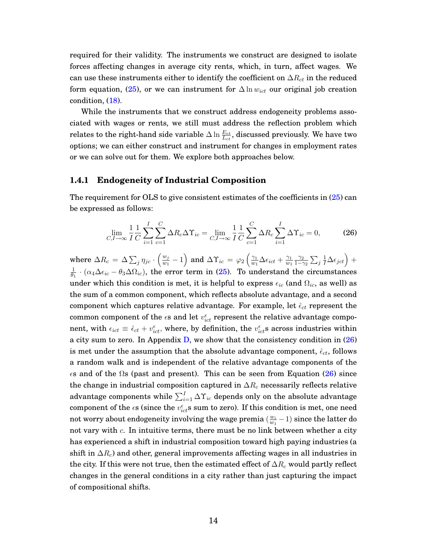required for their validity. The instruments we construct are designed to isolate forces affecting changes in average city rents, which, in turn, affect wages. We can use these instruments either to identify the coefficient on  $\Delta R_{ct}$  in the reduced form equation, [\(25\)](#page-13-2), or we can instrument for  $\Delta \ln w_{ict}$  our original job creation condition, [\(18\)](#page-10-1).

While the instruments that we construct address endogeneity problems associated with wages or rents, we still must address the reflection problem which relates to the right-hand side variable  $\Delta \ln \frac{E_{ct}}{L_{ct}},$  discussed previously. We have two options; we can either construct and instrument for changes in employment rates or we can solve out for them. We explore both approaches below.

#### **1.4.1 Endogeneity of Industrial Composition**

The requirement for OLS to give consistent estimates of the coefficients in [\(25\)](#page-13-2) can be expressed as follows:

<span id="page-14-0"></span>
$$
\lim_{C,I \to \infty} \frac{1}{I} \frac{1}{C} \sum_{i=1}^{I} \sum_{c=1}^{C} \Delta R_c \Delta \Upsilon_{ic} = \lim_{C,I \to \infty} \frac{1}{I} \frac{1}{C} \sum_{c=1}^{C} \Delta R_c \sum_{i=1}^{I} \Delta \Upsilon_{ic} = 0, \tag{26}
$$

where  $\Delta R_c = \Delta \sum_j \eta_{jc} \cdot \left( \frac{w_j}{w_1} \right)$  $\left(\frac{w_j}{w_1}-1\right)$  and  $\Delta\Upsilon_{ic}$   $=$   $\varphi_2$   $\left(\frac{\gamma_1}{w_1}\right)$  $\frac{\gamma_1}{w_1}\Delta \epsilon_{ict} + \frac{\gamma_1}{w_1}$  $\overline{w_1}$  $\gamma_2$  $\frac{\gamma_2}{1-\gamma_2}\sum_j \frac{1}{I}\Delta \epsilon_{jct}\Big)+$ 1  $\frac{1}{\theta_1} \cdot (\alpha_4 \Delta \epsilon_{ic} - \theta_3 \Delta \Omega_{ic})$ , the error term in [\(25\)](#page-13-2). To understand the circumstances under which this condition is met, it is helpful to express  $\epsilon_{ic}$  (and  $\Omega_{ic}$ , as well) as the sum of a common component, which reflects absolute advantage, and a second component which captures relative advantage. For example, let  $\hat{\epsilon}_{ct}$  represent the common component of the  $\epsilon$ s and let  $v_{ict}^\epsilon$  represent the relative advantage component, with  $\epsilon_{ict} \equiv \hat{\epsilon}_{ct} + v_{ict}^{\epsilon}$ , where, by definition, the  $v_{ict}^{\epsilon}$ s across industries within a city sum to zero. In Appendix [D,](#page-38-0) we show that the consistency condition in [\(26\)](#page-14-0) is met under the assumption that the absolute advantage component,  $\hat{\epsilon}_{ct}$ , follows a random walk and is independent of the relative advantage components of the  $\epsilon$ s and of the  $\Omega$ s (past and present). This can be seen from Equation [\(26\)](#page-14-0) since the change in industrial composition captured in  $\Delta R_c$  necessarily reflects relative advantage components while  $\sum_{i=1}^{I}\Delta\Upsilon_{ic}$  depends only on the absolute advantage component of the  $\epsilon$ s (since the  $v_{ict}^\epsilon$ s sum to zero). If this condition is met, one need not worry about endogeneity involving the wage premia  $\left(\frac{w_i}{w_i}\right)$  $\frac{w_i}{w_1} - 1)$  since the latter do not vary with  $c$ . In intuitive terms, there must be no link between whether a city has experienced a shift in industrial composition toward high paying industries (a shift in  $\Delta R_c$ ) and other, general improvements affecting wages in all industries in the city. If this were not true, then the estimated effect of  $\Delta R_c$  would partly reflect changes in the general conditions in a city rather than just capturing the impact of compositional shifts.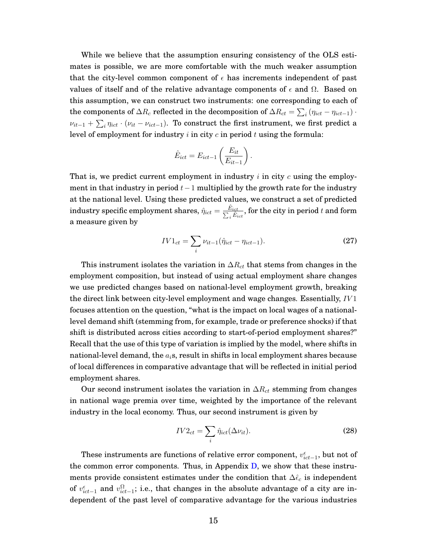While we believe that the assumption ensuring consistency of the OLS estimates is possible, we are more comfortable with the much weaker assumption that the city-level common component of  $\epsilon$  has increments independent of past values of itself and of the relative advantage components of  $\epsilon$  and  $\Omega$ . Based on this assumption, we can construct two instruments: one corresponding to each of the components of  $\Delta R_c$  reflected in the decomposition of  $\Delta R_{ct} = \sum_i \left(\eta_{ict}-\eta_{ict-1}\right)\cdot$  $\nu_{it-1}+\sum_i\eta_{ict}\cdot(\nu_{it}-\nu_{ict-1}).$  To construct the first instrument, we first predict a level of employment for industry  $i$  in city  $c$  in period  $t$  using the formula:

$$
\hat{E}_{ict} = E_{ict-1} \left( \frac{E_{it}}{E_{it-1}} \right).
$$

That is, we predict current employment in industry  $i$  in city  $c$  using the employment in that industry in period  $t-1$  multiplied by the growth rate for the industry at the national level. Using these predicted values, we construct a set of predicted  $\text{industry} \text{ specific employment shares, } \hat{\eta}_{ict} = \frac{\hat{E}_{ict}}{\sum_i \hat{E}_{ict}}, \text{for the city in period } t \text{ and form}$ a measure given by

$$
IV1_{ct} = \sum_{i} \nu_{it-1} (\hat{\eta}_{ict} - \eta_{ict-1}).
$$
 (27)

This instrument isolates the variation in  $\Delta R_{ct}$  that stems from changes in the employment composition, but instead of using actual employment share changes we use predicted changes based on national-level employment growth, breaking the direct link between city-level employment and wage changes. Essentially, IV 1 focuses attention on the question, "what is the impact on local wages of a nationallevel demand shift (stemming from, for example, trade or preference shocks) if that shift is distributed across cities according to start-of-period employment shares?" Recall that the use of this type of variation is implied by the model, where shifts in national-level demand, the  $a_i$ s, result in shifts in local employment shares because of local differences in comparative advantage that will be reflected in initial period employment shares.

Our second instrument isolates the variation in  $\Delta R_{ct}$  stemming from changes in national wage premia over time, weighted by the importance of the relevant industry in the local economy. Thus, our second instrument is given by

$$
IV2_{ct} = \sum_{i} \hat{\eta}_{ict}(\Delta \nu_{it}).
$$
\n(28)

These instruments are functions of relative error component,  $v_{ict-1}^\epsilon$ , but not of the common error components. Thus, in Appendix  $D$ , we show that these instruments provide consistent estimates under the condition that  $\Delta \hat{\epsilon}_c$  is independent of  $v_{ict-1}^{\epsilon}$  and  $v_{ict-1}^{\Omega}$ ; i.e., that changes in the absolute advantage of a city are independent of the past level of comparative advantage for the various industries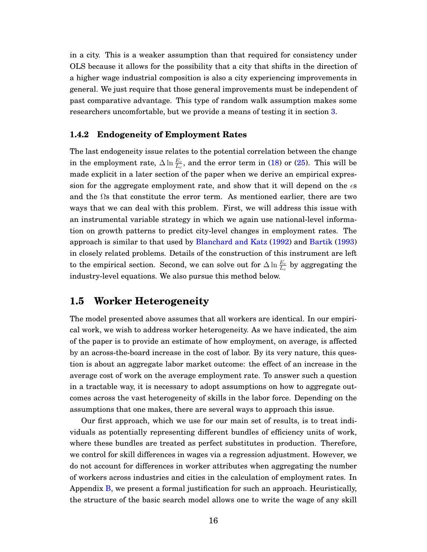in a city. This is a weaker assumption than that required for consistency under OLS because it allows for the possibility that a city that shifts in the direction of a higher wage industrial composition is also a city experiencing improvements in general. We just require that those general improvements must be independent of past comparative advantage. This type of random walk assumption makes some researchers uncomfortable, but we provide a means of testing it in section [3.](#page-20-0)

#### **1.4.2 Endogeneity of Employment Rates**

The last endogeneity issue relates to the potential correlation between the change in the employment rate,  $\Delta \ln \frac{E_c}{L_c}$ , and the error term in [\(18\)](#page-10-1) or [\(25\)](#page-13-2). This will be made explicit in a later section of the paper when we derive an empirical expression for the aggregate employment rate, and show that it will depend on the  $\epsilon s$ and the  $\Omega$ s that constitute the error term. As mentioned earlier, there are two ways that we can deal with this problem. First, we will address this issue with an instrumental variable strategy in which we again use national-level information on growth patterns to predict city-level changes in employment rates. The approach is similar to that used by [Blanchard and Katz](#page-42-1) [\(1992\)](#page-42-1) and [Bartik](#page-42-7) [\(1993\)](#page-42-7) in closely related problems. Details of the construction of this instrument are left to the empirical section. Second, we can solve out for  $\Delta \ln \frac{E_c}{L_c}$  by aggregating the industry-level equations. We also pursue this method below.

### <span id="page-16-0"></span>**1.5 Worker Heterogeneity**

The model presented above assumes that all workers are identical. In our empirical work, we wish to address worker heterogeneity. As we have indicated, the aim of the paper is to provide an estimate of how employment, on average, is affected by an across-the-board increase in the cost of labor. By its very nature, this question is about an aggregate labor market outcome: the effect of an increase in the average cost of work on the average employment rate. To answer such a question in a tractable way, it is necessary to adopt assumptions on how to aggregate outcomes across the vast heterogeneity of skills in the labor force. Depending on the assumptions that one makes, there are several ways to approach this issue.

Our first approach, which we use for our main set of results, is to treat individuals as potentially representing different bundles of efficiency units of work, where these bundles are treated as perfect substitutes in production. Therefore, we control for skill differences in wages via a regression adjustment. However, we do not account for differences in worker attributes when aggregating the number of workers across industries and cities in the calculation of employment rates. In Appendix [B,](#page-36-0) we present a formal justification for such an approach. Heuristically, the structure of the basic search model allows one to write the wage of any skill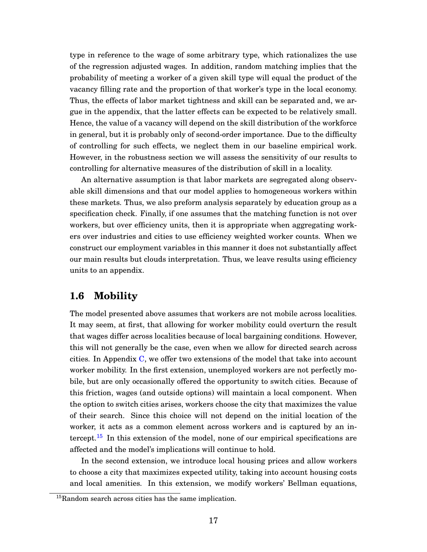type in reference to the wage of some arbitrary type, which rationalizes the use of the regression adjusted wages. In addition, random matching implies that the probability of meeting a worker of a given skill type will equal the product of the vacancy filling rate and the proportion of that worker's type in the local economy. Thus, the effects of labor market tightness and skill can be separated and, we argue in the appendix, that the latter effects can be expected to be relatively small. Hence, the value of a vacancy will depend on the skill distribution of the workforce in general, but it is probably only of second-order importance. Due to the difficulty of controlling for such effects, we neglect them in our baseline empirical work. However, in the robustness section we will assess the sensitivity of our results to controlling for alternative measures of the distribution of skill in a locality.

An alternative assumption is that labor markets are segregated along observable skill dimensions and that our model applies to homogeneous workers within these markets. Thus, we also preform analysis separately by education group as a specification check. Finally, if one assumes that the matching function is not over workers, but over efficiency units, then it is appropriate when aggregating workers over industries and cities to use efficiency weighted worker counts. When we construct our employment variables in this manner it does not substantially affect our main results but clouds interpretation. Thus, we leave results using efficiency units to an appendix.

#### <span id="page-17-1"></span>**1.6 Mobility**

The model presented above assumes that workers are not mobile across localities. It may seem, at first, that allowing for worker mobility could overturn the result that wages differ across localities because of local bargaining conditions. However, this will not generally be the case, even when we allow for directed search across cities. In Appendix [C,](#page-37-0) we offer two extensions of the model that take into account worker mobility. In the first extension, unemployed workers are not perfectly mobile, but are only occasionally offered the opportunity to switch cities. Because of this friction, wages (and outside options) will maintain a local component. When the option to switch cities arises, workers choose the city that maximizes the value of their search. Since this choice will not depend on the initial location of the worker, it acts as a common element across workers and is captured by an in-tercept.<sup>[15](#page-17-0)</sup> In this extension of the model, none of our empirical specifications are affected and the model's implications will continue to hold.

In the second extension, we introduce local housing prices and allow workers to choose a city that maximizes expected utility, taking into account housing costs and local amenities. In this extension, we modify workers' Bellman equations,

<span id="page-17-0"></span><sup>&</sup>lt;sup>15</sup>Random search across cities has the same implication.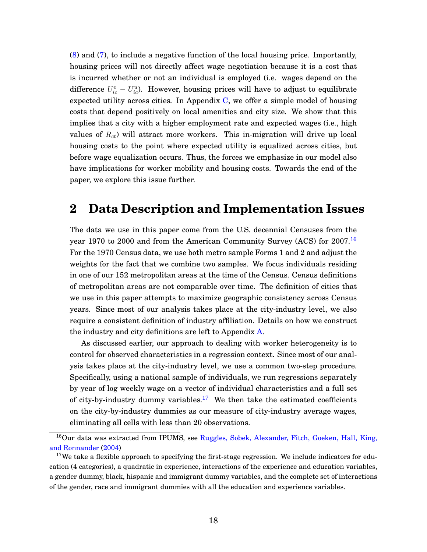[\(8\)](#page-7-1) and [\(7\)](#page-7-3), to include a negative function of the local housing price. Importantly, housing prices will not directly affect wage negotiation because it is a cost that is incurred whether or not an individual is employed (i.e. wages depend on the difference  $U_{ic}^e - U_{ic}^u$ ). However, housing prices will have to adjust to equilibrate expected utility across cities. In Appendix [C,](#page-37-0) we offer a simple model of housing costs that depend positively on local amenities and city size. We show that this implies that a city with a higher employment rate and expected wages (i.e., high values of  $R_{ct}$ ) will attract more workers. This in-migration will drive up local housing costs to the point where expected utility is equalized across cities, but before wage equalization occurs. Thus, the forces we emphasize in our model also have implications for worker mobility and housing costs. Towards the end of the paper, we explore this issue further.

### **2 Data Description and Implementation Issues**

The data we use in this paper come from the U.S. decennial Censuses from the year 1970 to 2000 and from the American Community Survey (ACS) for 2007.<sup>[16](#page-18-0)</sup> For the 1970 Census data, we use both metro sample Forms 1 and 2 and adjust the weights for the fact that we combine two samples. We focus individuals residing in one of our 152 metropolitan areas at the time of the Census. Census definitions of metropolitan areas are not comparable over time. The definition of cities that we use in this paper attempts to maximize geographic consistency across Census years. Since most of our analysis takes place at the city-industry level, we also require a consistent definition of industry affiliation. Details on how we construct the industry and city definitions are left to Appendix [A.](#page-33-0)

As discussed earlier, our approach to dealing with worker heterogeneity is to control for observed characteristics in a regression context. Since most of our analysis takes place at the city-industry level, we use a common two-step procedure. Specifically, using a national sample of individuals, we run regressions separately by year of log weekly wage on a vector of individual characteristics and a full set of city-by-industry dummy variables.<sup>[17](#page-18-1)</sup> We then take the estimated coefficients on the city-by-industry dummies as our measure of city-industry average wages, eliminating all cells with less than 20 observations.

<span id="page-18-0"></span><sup>&</sup>lt;sup>16</sup>Our data was extracted from IPUMS, see [Ruggles, Sobek, Alexander, Fitch, Goeken, Hall, King,](#page-44-2) [and Ronnander](#page-44-2) [\(2004\)](#page-44-2)

<span id="page-18-1"></span> $17$ We take a flexible approach to specifying the first-stage regression. We include indicators for education (4 categories), a quadratic in experience, interactions of the experience and education variables, a gender dummy, black, hispanic and immigrant dummy variables, and the complete set of interactions of the gender, race and immigrant dummies with all the education and experience variables.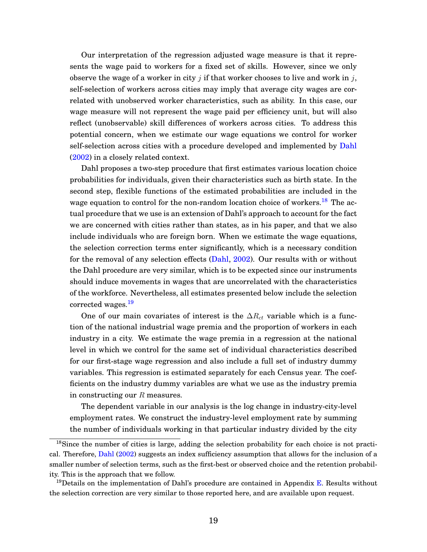Our interpretation of the regression adjusted wage measure is that it represents the wage paid to workers for a fixed set of skills. However, since we only observe the wage of a worker in city *i* if that worker chooses to live and work in *i*, self-selection of workers across cities may imply that average city wages are correlated with unobserved worker characteristics, such as ability. In this case, our wage measure will not represent the wage paid per efficiency unit, but will also reflect (unobservable) skill differences of workers across cities. To address this potential concern, when we estimate our wage equations we control for worker self-selection across cities with a procedure developed and implemented by [Dahl](#page-43-9) [\(2002\)](#page-43-9) in a closely related context.

Dahl proposes a two-step procedure that first estimates various location choice probabilities for individuals, given their characteristics such as birth state. In the second step, flexible functions of the estimated probabilities are included in the wage equation to control for the non-random location choice of workers.<sup>[18](#page-19-0)</sup> The actual procedure that we use is an extension of Dahl's approach to account for the fact we are concerned with cities rather than states, as in his paper, and that we also include individuals who are foreign born. When we estimate the wage equations, the selection correction terms enter significantly, which is a necessary condition for the removal of any selection effects [\(Dahl,](#page-43-9) [2002\)](#page-43-9). Our results with or without the Dahl procedure are very similar, which is to be expected since our instruments should induce movements in wages that are uncorrelated with the characteristics of the workforce. Nevertheless, all estimates presented below include the selection corrected wages.<sup>[19](#page-19-1)</sup>

One of our main covariates of interest is the  $\Delta R_{ct}$  variable which is a function of the national industrial wage premia and the proportion of workers in each industry in a city. We estimate the wage premia in a regression at the national level in which we control for the same set of individual characteristics described for our first-stage wage regression and also include a full set of industry dummy variables. This regression is estimated separately for each Census year. The coefficients on the industry dummy variables are what we use as the industry premia in constructing our  $R$  measures.

The dependent variable in our analysis is the log change in industry-city-level employment rates. We construct the industry-level employment rate by summing the number of individuals working in that particular industry divided by the city

<span id="page-19-0"></span><sup>18</sup>Since the number of cities is large, adding the selection probability for each choice is not practical. Therefore, [Dahl](#page-43-9) [\(2002\)](#page-43-9) suggests an index sufficiency assumption that allows for the inclusion of a smaller number of selection terms, such as the first-best or observed choice and the retention probability. This is the approach that we follow.

<span id="page-19-1"></span><sup>&</sup>lt;sup>19</sup>Details on the implementation of Dahl's procedure are contained in Appendix [E.](#page-40-0) Results without the selection correction are very similar to those reported here, and are available upon request.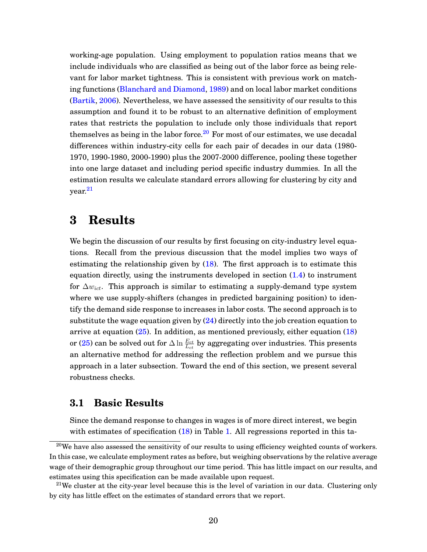working-age population. Using employment to population ratios means that we include individuals who are classified as being out of the labor force as being relevant for labor market tightness. This is consistent with previous work on matching functions [\(Blanchard and Diamond,](#page-42-4) [1989\)](#page-42-4) and on local labor market conditions [\(Bartik,](#page-42-8) [2006\)](#page-42-8). Nevertheless, we have assessed the sensitivity of our results to this assumption and found it to be robust to an alternative definition of employment rates that restricts the population to include only those individuals that report themselves as being in the labor force.<sup>[20](#page-20-1)</sup> For most of our estimates, we use decadal differences within industry-city cells for each pair of decades in our data (1980- 1970, 1990-1980, 2000-1990) plus the 2007-2000 difference, pooling these together into one large dataset and including period specific industry dummies. In all the estimation results we calculate standard errors allowing for clustering by city and year.[21](#page-20-2)

## <span id="page-20-0"></span>**3 Results**

We begin the discussion of our results by first focusing on city-industry level equations. Recall from the previous discussion that the model implies two ways of estimating the relationship given by  $(18)$ . The first approach is to estimate this equation directly, using the instruments developed in section [\(1.4\)](#page-13-4) to instrument for  $\Delta w_{ict}$ . This approach is similar to estimating a supply-demand type system where we use supply-shifters (changes in predicted bargaining position) to identify the demand side response to increases in labor costs. The second approach is to substitute the wage equation given by  $(24)$  directly into the job creation equation to arrive at equation [\(25\)](#page-13-2). In addition, as mentioned previously, either equation [\(18\)](#page-10-1) or [\(25\)](#page-13-2) can be solved out for  $\Delta \ln \frac{E_{ct}}{L_{ct}}$  by aggregating over industries. This presents an alternative method for addressing the reflection problem and we pursue this approach in a later subsection. Toward the end of this section, we present several robustness checks.

### <span id="page-20-3"></span>**3.1 Basic Results**

Since the demand response to changes in wages is of more direct interest, we begin with estimates of specification [\(18\)](#page-10-1) in Table [1.](#page-45-0) All regressions reported in this ta-

<span id="page-20-1"></span> $^{20}$ We have also assessed the sensitivity of our results to using efficiency weighted counts of workers. In this case, we calculate employment rates as before, but weighing observations by the relative average wage of their demographic group throughout our time period. This has little impact on our results, and estimates using this specification can be made available upon request.

<span id="page-20-2"></span><sup>&</sup>lt;sup>21</sup>We cluster at the city-year level because this is the level of variation in our data. Clustering only by city has little effect on the estimates of standard errors that we report.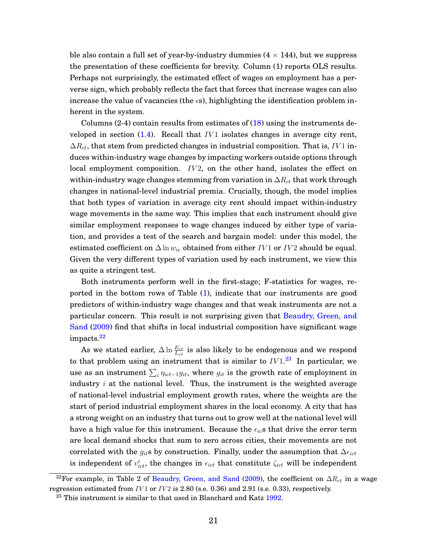ble also contain a full set of year-by-industry dummies  $(4 \times 144)$ , but we suppress the presentation of these coefficients for brevity. Column (1) reports OLS results. Perhaps not surprisingly, the estimated effect of wages on employment has a perverse sign, which probably reflects the fact that forces that increase wages can also increase the value of vacancies (the  $\epsilon$ s), highlighting the identification problem inherent in the system.

Columns  $(2-4)$  contain results from estimates of  $(18)$  using the instruments developed in section  $(1.4)$ . Recall that  $IV1$  isolates changes in average city rent,  $\Delta R_{ct}$ , that stem from predicted changes in industrial composition. That is, IV 1 induces within-industry wage changes by impacting workers outside options through local employment composition.  $IV2$ , on the other hand, isolates the effect on within-industry wage changes stemming from variation in  $\Delta R_{ct}$  that work through changes in national-level industrial premia. Crucially, though, the model implies that both types of variation in average city rent should impact within-industry wage movements in the same way. This implies that each instrument should give similar employment responses to wage changes induced by either type of variation, and provides a test of the search and bargain model: under this model, the estimated coefficient on  $\Delta \ln w_{ic}$  obtained from either IV 1 or IV2 should be equal. Given the very different types of variation used by each instrument, we view this as quite a stringent test.

Both instruments perform well in the first-stage; F-statistics for wages, reported in the bottom rows of Table [\(1\)](#page-45-0), indicate that our instruments are good predictors of within-industry wage changes and that weak instruments are not a particular concern. This result is not surprising given that [Beaudry, Green, and](#page-42-2) [Sand](#page-42-2) [\(2009\)](#page-42-2) find that shifts in local industrial composition have significant wage impacts.<sup>[22](#page-21-0)</sup>

As we stated earlier,  $\Delta \ln \frac{E_{ct}}{L_{ct}}$  is also likely to be endogenous and we respond to that problem using an instrument that is similar to  $IV1.^{23}$  $IV1.^{23}$  $IV1.^{23}$  In particular, we use as an instrument  $\sum_i \eta_{ict-1}g_{it}$ , where  $g_{it}$  is the growth rate of employment in industry  $i$  at the national level. Thus, the instrument is the weighted average of national-level industrial employment growth rates, where the weights are the start of period industrial employment shares in the local economy. A city that has a strong weight on an industry that turns out to grow well at the national level will have a high value for this instrument. Because the  $\epsilon_{ic}$ s that drive the error term are local demand shocks that sum to zero across cities, their movements are not correlated with the  $g_{it}$ s by construction. Finally, under the assumption that  $\Delta \epsilon_{ict}$ is independent of  $v_{ict}^{\epsilon}$ , the changes in  $\epsilon_{ict}$  that constitute  $\zeta_{ict}$  will be independent

<span id="page-21-0"></span><sup>&</sup>lt;sup>22</sup>For example, in Table 2 of [Beaudry, Green, and Sand](#page-42-2) [\(2009\)](#page-42-2), the coefficient on  $\Delta R_{ct}$  in a wage regression estimated from  $IV1$  or  $IV2$  is 2.80 (s.e. 0.36) and 2.91 (s.e. 0.33), respectively.

<span id="page-21-1"></span> $23$  This instrument is similar to that used in Blanchard and Katz [1992.](#page-42-1)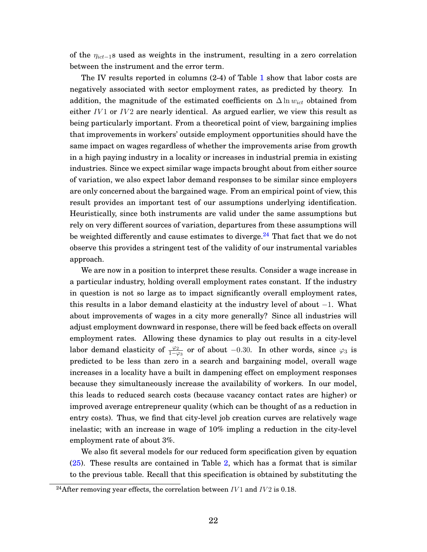of the  $\eta_{ict-1}$ s used as weights in the instrument, resulting in a zero correlation between the instrument and the error term.

The IV results reported in columns (2-4) of Table [1](#page-45-0) show that labor costs are negatively associated with sector employment rates, as predicted by theory. In addition, the magnitude of the estimated coefficients on  $\Delta \ln w_{ict}$  obtained from either  $IV1$  or  $IV2$  are nearly identical. As argued earlier, we view this result as being particularly important. From a theoretical point of view, bargaining implies that improvements in workers' outside employment opportunities should have the same impact on wages regardless of whether the improvements arise from growth in a high paying industry in a locality or increases in industrial premia in existing industries. Since we expect similar wage impacts brought about from either source of variation, we also expect labor demand responses to be similar since employers are only concerned about the bargained wage. From an empirical point of view, this result provides an important test of our assumptions underlying identification. Heuristically, since both instruments are valid under the same assumptions but rely on very different sources of variation, departures from these assumptions will be weighted differently and cause estimates to diverge.<sup>[24](#page-22-0)</sup> That fact that we do not observe this provides a stringent test of the validity of our instrumental variables approach.

We are now in a position to interpret these results. Consider a wage increase in a particular industry, holding overall employment rates constant. If the industry in question is not so large as to impact significantly overall employment rates, this results in a labor demand elasticity at the industry level of about −1. What about improvements of wages in a city more generally? Since all industries will adjust employment downward in response, there will be feed back effects on overall employment rates. Allowing these dynamics to play out results in a city-level labor demand elasticity of  $\frac{\varphi_2}{1-\varphi_3}$  or of about  $-0.30$ . In other words, since  $\varphi_3$  is predicted to be less than zero in a search and bargaining model, overall wage increases in a locality have a built in dampening effect on employment responses because they simultaneously increase the availability of workers. In our model, this leads to reduced search costs (because vacancy contact rates are higher) or improved average entrepreneur quality (which can be thought of as a reduction in entry costs). Thus, we find that city-level job creation curves are relatively wage inelastic; with an increase in wage of 10% impling a reduction in the city-level employment rate of about 3%.

We also fit several models for our reduced form specification given by equation [\(25\)](#page-13-2). These results are contained in Table [2,](#page-45-1) which has a format that is similar to the previous table. Recall that this specification is obtained by substituting the

<span id="page-22-0"></span><sup>&</sup>lt;sup>24</sup>After removing year effects, the correlation between  $IV1$  and  $IV2$  is 0.18.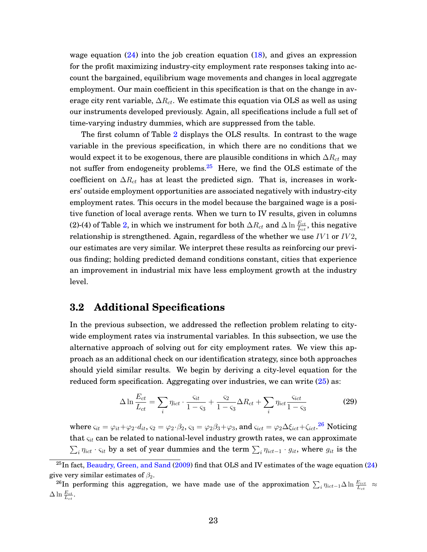wage equation  $(24)$  into the job creation equation  $(18)$ , and gives an expression for the profit maximizing industry-city employment rate responses taking into account the bargained, equilibrium wage movements and changes in local aggregate employment. Our main coefficient in this specification is that on the change in average city rent variable,  $\Delta R_{ct}$ . We estimate this equation via OLS as well as using our instruments developed previously. Again, all specifications include a full set of time-varying industry dummies, which are suppressed from the table.

The first column of Table [2](#page-45-1) displays the OLS results. In contrast to the wage variable in the previous specification, in which there are no conditions that we would expect it to be exogenous, there are plausible conditions in which  $\Delta R_{ct}$  may not suffer from endogeneity problems.[25](#page-23-0) Here, we find the OLS estimate of the coefficient on  $\Delta R_{ct}$  has at least the predicted sign. That is, increases in workers' outside employment opportunities are associated negatively with industry-city employment rates. This occurs in the model because the bargained wage is a positive function of local average rents. When we turn to IV results, given in columns (2)-(4) of Table [2,](#page-45-1) in which we instrument for both  $\Delta R_{ct}$  and  $\Delta \ln \frac{E_{ct}}{L_{ct}},$  this negative relationship is strengthened. Again, regardless of the whether we use  $IV1$  or  $IV2$ , our estimates are very similar. We interpret these results as reinforcing our previous finding; holding predicted demand conditions constant, cities that experience an improvement in industrial mix have less employment growth at the industry level.

### **3.2 Additional Specifications**

In the previous subsection, we addressed the reflection problem relating to citywide employment rates via instrumental variables. In this subsection, we use the alternative approach of solving out for city employment rates. We view this approach as an additional check on our identification strategy, since both approaches should yield similar results. We begin by deriving a city-level equation for the reduced form specification. Aggregating over industries, we can write [\(25\)](#page-13-2) as:

$$
\Delta \ln \frac{E_{ct}}{L_{ct}} = \sum_{i} \eta_{ict} \cdot \frac{S_{it}}{1 - S_{3}} + \frac{S_{2}}{1 - S_{3}} \Delta R_{ct} + \sum_{i} \eta_{ict} \frac{S_{ict}}{1 - S_{3}}
$$
(29)

where  $\varsigma_{it}=\varphi_{it}+\varphi_2\cdot d_{it},$   $\varsigma_2=\varphi_2\cdot\beta_2$ ,  $\varsigma_3=\varphi_2\beta_3+\varphi_3,$  and  $\varsigma_{ict}=\varphi_2\Delta\xi_{ict}+\zeta_{ict}$ .  $^{26}$  $^{26}$  $^{26}$  Noticing that  $\varsigma_{it}$  can be related to national-level industry growth rates, we can approximate  $\sum_i \eta_{ict} \cdot \varsigma_{it}$  by a set of year dummies and the term  $\sum_i \eta_{ict-1} \cdot g_{it}$ , where  $g_{it}$  is the

<span id="page-23-0"></span> $^{25}$ In fact, [Beaudry, Green, and Sand](#page-42-2) [\(2009\)](#page-42-2) find that OLS and IV estimates of the wage equation [\(24\)](#page-13-0) give very similar estimates of  $\beta_2$ .

<span id="page-23-1"></span> $^{26}{\rm In}$  performing this aggregation, we have made use of the approximation  $\sum_i \eta_{ict-1}\Delta\ln\frac{E_{ict}}{L_{ct}}$   $\approx$  $\Delta \ln \frac{E_{ct}}{L_{ct}}$ .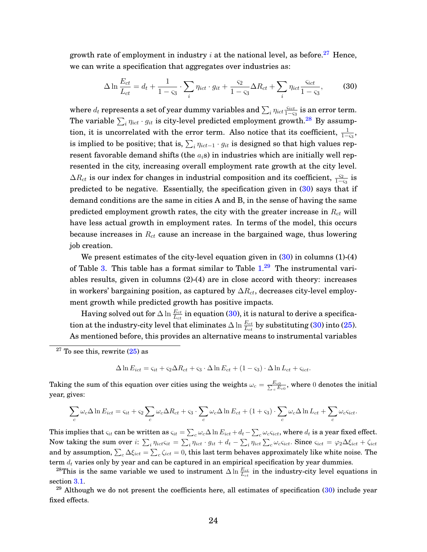growth rate of employment in industry  $i$  at the national level, as before.<sup>[27](#page-24-0)</sup> Hence, we can write a specification that aggregates over industries as:

<span id="page-24-2"></span>
$$
\Delta \ln \frac{E_{ct}}{L_{ct}} = d_t + \frac{1}{1 - \varsigma_3} \cdot \sum_i \eta_{ict} \cdot g_{it} + \frac{\varsigma_2}{1 - \varsigma_3} \Delta R_{ct} + \sum_i \eta_{ict} \frac{\varsigma_{ict}}{1 - \varsigma_3},\tag{30}
$$

where  $d_t$  represents a set of year dummy variables and  $\sum_i \eta_{ict} \frac{\mathcal{S}_{ict}}{1-\varsigma_t}$  $\frac{\varsigma_{ict}}{1-\varsigma_{3}}$  is an error term. The variable  $\sum_i \eta_{ict} \cdot g_{it}$  is city-level predicted employment growth. $^{28}$  $^{28}$  $^{28}$  By assumption, it is uncorrelated with the error term. Also notice that its coefficient,  $\frac{1}{1-\varsigma_3}$ , is implied to be positive; that is,  $\sum_i \eta_{ict-1} \cdot g_{it}$  is designed so that high values represent favorable demand shifts (the  $a_i$ s) in industries which are initially well represented in the city, increasing overall employment rate growth at the city level.  $\Delta R_{ct}$  is our index for changes in industrial composition and its coefficient,  $\frac{\varsigma_2}{1-\varsigma_3}$  is predicted to be negative. Essentially, the specification given in [\(30\)](#page-24-2) says that if demand conditions are the same in cities A and B, in the sense of having the same predicted employment growth rates, the city with the greater increase in  $R_{ct}$  will have less actual growth in employment rates. In terms of the model, this occurs because increases in  $R_{ct}$  cause an increase in the bargained wage, thus lowering job creation.

We present estimates of the city-level equation given in  $(30)$  in columns  $(1)-(4)$ of Table [3.](#page-46-0) This table has a format similar to Table [1.](#page-45-0)<sup>[29](#page-24-3)</sup> The instrumental variables results, given in columns (2)-(4) are in close accord with theory: increases in workers' bargaining position, as captured by  $\Delta R_{ct}$ , decreases city-level employment growth while predicted growth has positive impacts.

Having solved out for  $\Delta \ln \frac{E_{ct}}{L_{ct}}$  in equation [\(30\)](#page-24-2), it is natural to derive a specification at the industry-city level that eliminates  $\Delta \ln \frac{E_{ct}}{L_{ct}}$  by substituting [\(30\)](#page-24-2) into [\(25\)](#page-13-2). As mentioned before, this provides an alternative means to instrumental variables

$$
\Delta \ln E_{ict} = \varsigma_{it} + \varsigma_2 \Delta R_{ct} + \varsigma_3 \cdot \Delta \ln E_{ct} + (1 - \varsigma_3) \cdot \Delta \ln L_{ct} + \varsigma_{ict}.
$$

Taking the sum of this equation over cities using the weights  $\omega_c = \frac{E_{c0}}{\sum_c E_{c0}}$ , where 0 denotes the initial year, gives:

$$
\sum_{c} \omega_c \Delta \ln E_{ict} = \varsigma_{it} + \varsigma_2 \sum_{c} \omega_c \Delta R_{ct} + \varsigma_3 \cdot \sum_{c} \omega_c \Delta \ln E_{ct} + (1 + \varsigma_3) \cdot \sum_{c} \omega_c \Delta \ln L_{ct} + \sum_{c} \omega_c \varsigma_{ict}.
$$

This implies that  $\varsigma_{it}$  can be written as  $\varsigma_{it}=\sum_c\omega_c\Delta\ln E_{ict}+d_t-\sum_c\omega_c\varsigma_{ict}$ , where  $d_t$  is a year fixed effect. Now taking the sum over  $i$ :  $\sum_i \eta_{ict} \varsigma_{it} = \sum_i \eta_{ict} \cdot g_{it} + d_t - \sum_i \eta_{ict} \sum_c \omega_c \varsigma_{ict}$ . Since  $\varsigma_{ict} = \varphi_2 \Delta \xi_{ict} + \zeta_{ict}$ and by assumption,  $\sum_c\Delta\xi_{ict}=\sum_c\zeta_{ict}=0,$  this last term behaves approximately like white noise. The term  $d_t$  varies only by year and can be captured in an empirical specification by year dummies.

<span id="page-24-1"></span><sup>28</sup>This is the same variable we used to instrument  $\Delta \ln \frac{E_{ct}}{L_{ct}}$  in the industry-city level equations in section [3.1.](#page-20-3)

<span id="page-24-3"></span> $29$  Although we do not present the coefficients here, all estimates of specification  $(30)$  include year fixed effects.

<span id="page-24-0"></span> $27$  To see this, rewrite  $(25)$  as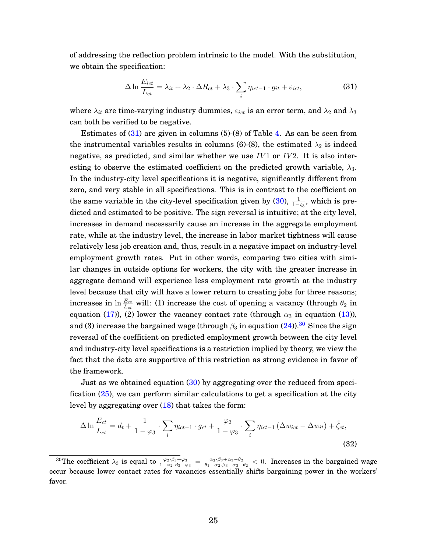of addressing the reflection problem intrinsic to the model. With the substitution, we obtain the specification:

<span id="page-25-0"></span>
$$
\Delta \ln \frac{E_{ict}}{L_{ct}} = \lambda_{it} + \lambda_2 \cdot \Delta R_{ct} + \lambda_3 \cdot \sum_{i} \eta_{ict-1} \cdot g_{it} + \varepsilon_{ict},
$$
\n(31)

where  $\lambda_{it}$  are time-varying industry dummies,  $\varepsilon_{ict}$  is an error term, and  $\lambda_2$  and  $\lambda_3$ can both be verified to be negative.

Estimates of  $(31)$  are given in columns  $(5)-(8)$  of Table [4.](#page-46-1) As can be seen from the instrumental variables results in columns (6)-(8), the estimated  $\lambda_2$  is indeed negative, as predicted, and similar whether we use  $IV1$  or  $IV2$ . It is also interesting to observe the estimated coefficient on the predicted growth variable,  $\lambda_3$ . In the industry-city level specifications it is negative, significantly different from zero, and very stable in all specifications. This is in contrast to the coefficient on the same variable in the city-level specification given by [\(30\)](#page-24-2),  $\frac{1}{1-\varsigma_3}$ , which is predicted and estimated to be positive. The sign reversal is intuitive; at the city level, increases in demand necessarily cause an increase in the aggregate employment rate, while at the industry level, the increase in labor market tightness will cause relatively less job creation and, thus, result in a negative impact on industry-level employment growth rates. Put in other words, comparing two cities with similar changes in outside options for workers, the city with the greater increase in aggregate demand will experience less employment rate growth at the industry level because that city will have a lower return to creating jobs for three reasons; increases in  $\ln \frac{E_{ct}}{L_{ct}}$  will: (1) increase the cost of opening a vacancy (through  $\theta_2$  in equation [\(17\)](#page-10-0)), (2) lower the vacancy contact rate (through  $\alpha_3$  in equation [\(13\)](#page-9-1)), and (3) increase the bargained wage (through  $\beta_3$  in equation [\(24\)](#page-13-0)).<sup>[30](#page-25-1)</sup> Since the sign reversal of the coefficient on predicted employment growth between the city level and industry-city level specifications is a restriction implied by theory, we view the fact that the data are supportive of this restriction as strong evidence in favor of the framework.

Just as we obtained equation [\(30\)](#page-24-2) by aggregating over the reduced from specification [\(25\)](#page-13-2), we can perform similar calculations to get a specification at the city level by aggregating over  $(18)$  that takes the form:

<span id="page-25-2"></span>
$$
\Delta \ln \frac{E_{ct}}{L_{ct}} = d_t + \frac{1}{1 - \varphi_3} \cdot \sum_i \eta_{ict-1} \cdot g_{ct} + \frac{\varphi_2}{1 - \varphi_3} \cdot \sum_i \eta_{ict-1} \left(\Delta w_{ict} - \Delta w_{it}\right) + \tilde{\zeta}_{ct},\tag{32}
$$

<span id="page-25-1"></span><sup>&</sup>lt;sup>30</sup>The coefficient  $\lambda_3$  is equal to  $\frac{\varphi_2 \cdot \beta_3 + \varphi_3}{1 - \varphi_2 \cdot \beta_3 - \varphi_3} = \frac{\alpha_2 \cdot \beta_3 + \alpha_3 - \theta_2}{\theta_1 - \alpha_2 \cdot \beta_3 - \alpha_3 + \theta_2} < 0$ . Increases in the bargained wage occur because lower contact rates for vacancies essentially shifts bargaining power in the workers' favor.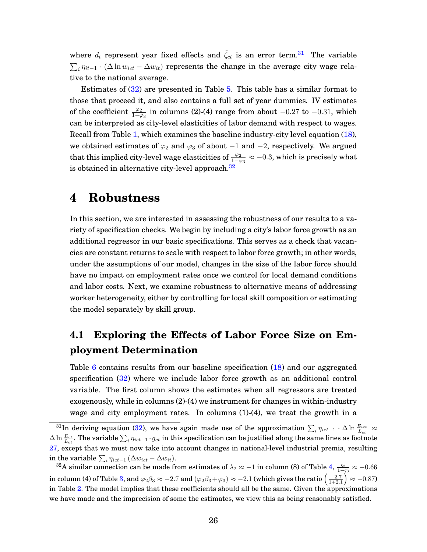where  $d_t$  represent year fixed effects and  $\tilde{\zeta}_{ct}$  is an error term.<sup>[31](#page-26-0)</sup> The variable  $\sum_i \eta_{it-1} \cdot (\Delta \ln w_{ict} - \Delta w_{it})$  represents the change in the average city wage relative to the national average.

Estimates of [\(32\)](#page-25-2) are presented in Table [5.](#page-47-0) This table has a similar format to those that proceed it, and also contains a full set of year dummies. IV estimates of the coefficient  $\frac{\varphi_2}{1-\varphi_3}$  in columns (2)-(4) range from about  $-0.27$  to  $-0.31$ , which can be interpreted as city-level elasticities of labor demand with respect to wages. Recall from Table [1,](#page-45-0) which examines the baseline industry-city level equation [\(18\)](#page-10-1), we obtained estimates of  $\varphi_2$  and  $\varphi_3$  of about  $-1$  and  $-2$ , respectively. We argued that this implied city-level wage elasticities of  $\frac{\varphi_2}{1-\varphi_3}\approx -0.3,$  which is precisely what is obtained in alternative city-level approach.<sup>[32](#page-26-1)</sup>

### **4 Robustness**

In this section, we are interested in assessing the robustness of our results to a variety of specification checks. We begin by including a city's labor force growth as an additional regressor in our basic specifications. This serves as a check that vacancies are constant returns to scale with respect to labor force growth; in other words, under the assumptions of our model, changes in the size of the labor force should have no impact on employment rates once we control for local demand conditions and labor costs. Next, we examine robustness to alternative means of addressing worker heterogeneity, either by controlling for local skill composition or estimating the model separately by skill group.

## **4.1 Exploring the Effects of Labor Force Size on Employment Determination**

Table [6](#page-48-0) contains results from our baseline specification [\(18\)](#page-10-1) and our aggregated specification [\(32\)](#page-25-2) where we include labor force growth as an additional control variable. The first column shows the estimates when all regressors are treated exogenously, while in columns (2)-(4) we instrument for changes in within-industry wage and city employment rates. In columns  $(1)-(4)$ , we treat the growth in a

<span id="page-26-0"></span> $^{31}$ In deriving equation [\(32\)](#page-25-2), we have again made use of the approximation  $\sum_i \eta_{ict-1} \cdot \Delta \ln \frac{E_{ict}}{L_{ct}} \approx$  $\Delta \ln \frac{E_{ct}}{L_{ct}}.$  The variable  $\sum_i \eta_{ict-1} \cdot g_{ct}$  in this specification can be justified along the same lines as footnote [27,](#page-24-0) except that we must now take into account changes in national-level industrial premia, resulting in the variable  $\sum_i \eta_{ict-1} \left( \Delta w_{ict} - \Delta w_{it} \right)$ .

<span id="page-26-1"></span> $^{32}$ A similar connection can be made from estimates of  $\lambda_2\approx-1$  in column (8) of Table [4,](#page-46-1)  $\frac{\varsigma_2}{1-\varsigma_3}\approx-0.66$ in column (4) of Table [3,](#page-46-0) and  $\varphi_2\beta_3\approx-2.7$  and  $(\varphi_2\beta_3+\varphi_3)\approx-2.1$  (which gives the ratio  $\left(\frac{-2.7}{1+2.1}\right)\approx-0.87$ ) in Table [2.](#page-45-1) The model implies that these coefficients should all be the same. Given the approximations we have made and the imprecision of some the estimates, we view this as being reasonably satisfied.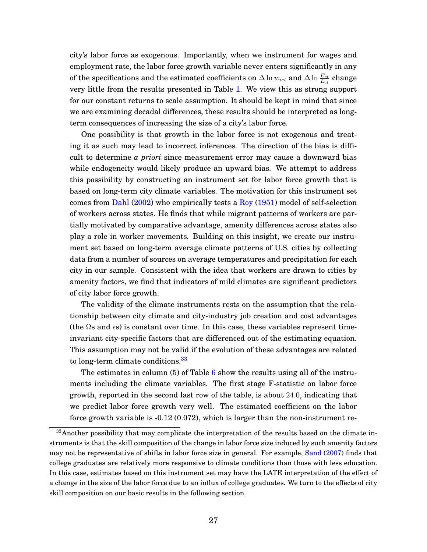city's labor force as exogenous. Importantly, when we instrument for wages and employment rate, the labor force growth variable never enters significantly in any of the specifications and the estimated coefficients on  $\Delta \ln w_{ict}$  and  $\Delta \ln \frac{E_{ct}}{L_{ct}}$  change very little from the results presented in Table [1.](#page-45-0) We view this as strong support for our constant returns to scale assumption. It should be kept in mind that since we are examining decadal differences, these results should be interpreted as longterm consequences of increasing the size of a city's labor force.

One possibility is that growth in the labor force is not exogenous and treating it as such may lead to incorrect inferences. The direction of the bias is difficult to determine *a priori* since measurement error may cause a downward bias while endogeneity would likely produce an upward bias. We attempt to address this possibility by constructing an instrument set for labor force growth that is based on long-term city climate variables. The motivation for this instrument set comes from [Dahl](#page-43-9) [\(2002\)](#page-43-9) who empirically tests a [Roy](#page-44-3) [\(1951\)](#page-44-3) model of self-selection of workers across states. He finds that while migrant patterns of workers are partially motivated by comparative advantage, amenity differences across states also play a role in worker movements. Building on this insight, we create our instrument set based on long-term average climate patterns of U.S. cities by collecting data from a number of sources on average temperatures and precipitation for each city in our sample. Consistent with the idea that workers are drawn to cities by amenity factors, we find that indicators of mild climates are significant predictors of city labor force growth.

The validity of the climate instruments rests on the assumption that the relationship between city climate and city-industry job creation and cost advantages (the  $\Omega$ s and  $\epsilon$ s) is constant over time. In this case, these variables represent timeinvariant city-specific factors that are differenced out of the estimating equation. This assumption may not be valid if the evolution of these advantages are related to long-term climate conditions.<sup>[33](#page-27-0)</sup>

The estimates in column (5) of Table  $6$  show the results using all of the instruments including the climate variables. The first stage F-statistic on labor force growth, reported in the second last row of the table, is about 24.0, indicating that we predict labor force growth very well. The estimated coefficient on the labor force growth variable is -0.12 (0.072), which is larger than the non-instrument re-

<span id="page-27-0"></span> $33$ Another possibility that may complicate the interpretation of the results based on the climate instruments is that the skill composition of the change in labor force size induced by such amenity factors may not be representative of shifts in labor force size in general. For example, [Sand](#page-44-4) [\(2007\)](#page-44-4) finds that college graduates are relatively more responsive to climate conditions than those with less education. In this case, estimates based on this instrument set may have the LATE interpretation of the effect of a change in the size of the labor force due to an influx of college graduates. We turn to the effects of city skill composition on our basic results in the following section.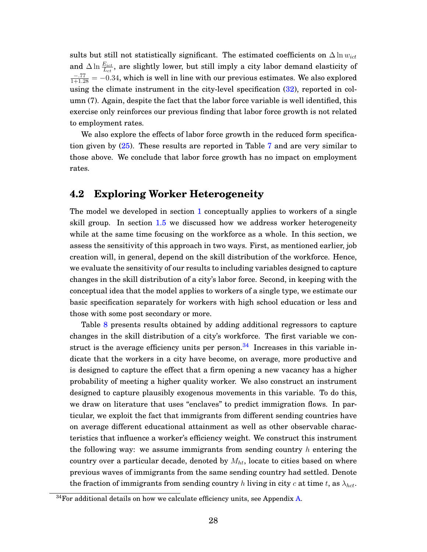sults but still not statistically significant. The estimated coefficients on  $\Delta \ln w_{ict}$ and  $\Delta \ln \frac{E_{ict}}{L_{ct}},$  are slightly lower, but still imply a city labor demand elasticity of  $\frac{-.77}{1+1.28} = -0.34$ , which is well in line with our previous estimates. We also explored using the climate instrument in the city-level specification [\(32\)](#page-25-2), reported in column (7). Again, despite the fact that the labor force variable is well identified, this exercise only reinforces our previous finding that labor force growth is not related to employment rates.

We also explore the effects of labor force growth in the reduced form specification given by [\(25\)](#page-13-2). These results are reported in Table [7](#page-49-0) and are very similar to those above. We conclude that labor force growth has no impact on employment rates.

#### **4.2 Exploring Worker Heterogeneity**

The model we developed in section [1](#page-5-1) conceptually applies to workers of a single skill group. In section [1.5](#page-16-0) we discussed how we address worker heterogeneity while at the same time focusing on the workforce as a whole. In this section, we assess the sensitivity of this approach in two ways. First, as mentioned earlier, job creation will, in general, depend on the skill distribution of the workforce. Hence, we evaluate the sensitivity of our results to including variables designed to capture changes in the skill distribution of a city's labor force. Second, in keeping with the conceptual idea that the model applies to workers of a single type, we estimate our basic specification separately for workers with high school education or less and those with some post secondary or more.

Table [8](#page-50-0) presents results obtained by adding additional regressors to capture changes in the skill distribution of a city's workforce. The first variable we construct is the average efficiency units per person. $34$  Increases in this variable indicate that the workers in a city have become, on average, more productive and is designed to capture the effect that a firm opening a new vacancy has a higher probability of meeting a higher quality worker. We also construct an instrument designed to capture plausibly exogenous movements in this variable. To do this, we draw on literature that uses "enclaves" to predict immigration flows. In particular, we exploit the fact that immigrants from different sending countries have on average different educational attainment as well as other observable characteristics that influence a worker's efficiency weight. We construct this instrument the following way: we assume immigrants from sending country  $h$  entering the country over a particular decade, denoted by  $M_{ht}$ , locate to cities based on where previous waves of immigrants from the same sending country had settled. Denote the fraction of immigrants from sending country h living in city c at time t, as  $\lambda_{hct}$ .

<span id="page-28-0"></span> $34$  For additional details on how we calculate efficiency units, see Appendix [A.](#page-33-0)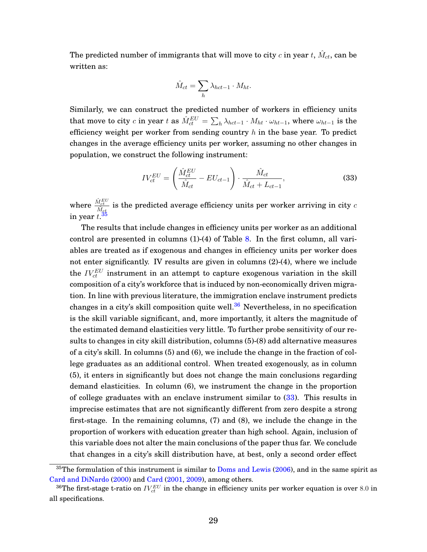The predicted number of immigrants that will move to city  $c$  in year  $t,$   $\hat M_{ct},$  can be written as:

<span id="page-29-2"></span>
$$
\hat{M}_{ct} = \sum_{h} \lambda_{hct-1} \cdot M_{ht}.
$$

Similarly, we can construct the predicted number of workers in efficiency units that move to city  $c$  in year  $t$  as  $\hat{M}_{ct}^{EU} = \sum_h \lambda_{hct-1} \cdot M_{ht} \cdot \omega_{ht-1},$  where  $\omega_{ht-1}$  is the efficiency weight per worker from sending country  $h$  in the base year. To predict changes in the average efficiency units per worker, assuming no other changes in population, we construct the following instrument:

$$
IV_{ct}^{EU} = \left(\frac{\hat{M}_{ct}^{EU}}{\hat{M}_{ct}} - EU_{ct-1}\right) \cdot \frac{\hat{M}_{ct}}{\hat{M}_{ct} + L_{ct-1}},
$$
(33)

where  $\frac{\hat{M}_{ct}^{EU}}{\hat{M}_{ct}}$  is the predicted average efficiency units per worker arriving in city  $c$ in year  $t.\overline{^{35}}$  $t.\overline{^{35}}$  $t.\overline{^{35}}$ 

The results that include changes in efficiency units per worker as an additional control are presented in columns (1)-(4) of Table [8.](#page-50-0) In the first column, all variables are treated as if exogenous and changes in efficiency units per worker does not enter significantly. IV results are given in columns (2)-(4), where we include the  $IV_{ct}^{EU}$  instrument in an attempt to capture exogenous variation in the skill composition of a city's workforce that is induced by non-economically driven migration. In line with previous literature, the immigration enclave instrument predicts changes in a city's skill composition quite well. $36$  Nevertheless, in no specification is the skill variable significant, and, more importantly, it alters the magnitude of the estimated demand elasticities very little. To further probe sensitivity of our results to changes in city skill distribution, columns (5)-(8) add alternative measures of a city's skill. In columns (5) and (6), we include the change in the fraction of college graduates as an additional control. When treated exogenously, as in column (5), it enters in significantly but does not change the main conclusions regarding demand elasticities. In column (6), we instrument the change in the proportion of college graduates with an enclave instrument similar to [\(33\)](#page-29-2). This results in imprecise estimates that are not significantly different from zero despite a strong first-stage. In the remaining columns, (7) and (8), we include the change in the proportion of workers with education greater than high school. Again, inclusion of this variable does not alter the main conclusions of the paper thus far. We conclude that changes in a city's skill distribution have, at best, only a second order effect

<span id="page-29-0"></span> $35$ The formulation of this instrument is similar to [Doms and Lewis](#page-43-10) [\(2006\)](#page-43-10), and in the same spirit as [Card and DiNardo](#page-43-11) [\(2000\)](#page-43-11) and [Card](#page-42-10) [\(2001,](#page-42-10) [2009\)](#page-43-7), among others.

<span id="page-29-1"></span> $^{36}\text{The first-stage t-ratio on } IV_{ct}^{EU}$  in the change in efficiency units per worker equation is over  $8.0$  in all specifications.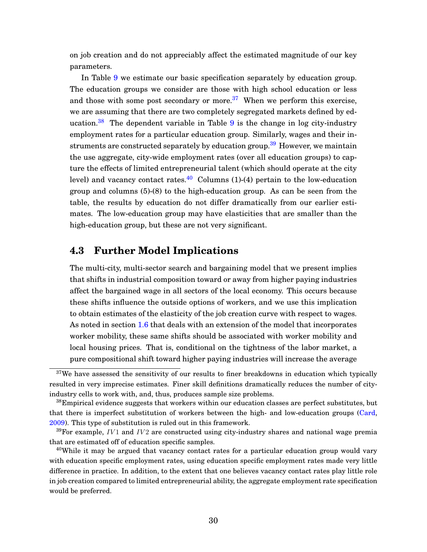on job creation and do not appreciably affect the estimated magnitude of our key parameters.

In Table [9](#page-51-0) we estimate our basic specification separately by education group. The education groups we consider are those with high school education or less and those with some post secondary or more.<sup>[37](#page-30-0)</sup> When we perform this exercise, we are assuming that there are two completely segregated markets defined by ed-ucation.<sup>[38](#page-30-1)</sup> The dependent variable in Table [9](#page-51-0) is the change in log city-industry employment rates for a particular education group. Similarly, wages and their in-struments are constructed separately by education group.<sup>[39](#page-30-2)</sup> However, we maintain the use aggregate, city-wide employment rates (over all education groups) to capture the effects of limited entrepreneurial talent (which should operate at the city level) and vacancy contact rates.<sup>[40](#page-30-3)</sup> Columns (1)-(4) pertain to the low-education group and columns (5)-(8) to the high-education group. As can be seen from the table, the results by education do not differ dramatically from our earlier estimates. The low-education group may have elasticities that are smaller than the high-education group, but these are not very significant.

#### **4.3 Further Model Implications**

The multi-city, multi-sector search and bargaining model that we present implies that shifts in industrial composition toward or away from higher paying industries affect the bargained wage in all sectors of the local economy. This occurs because these shifts influence the outside options of workers, and we use this implication to obtain estimates of the elasticity of the job creation curve with respect to wages. As noted in section [1.6](#page-17-1) that deals with an extension of the model that incorporates worker mobility, these same shifts should be associated with worker mobility and local housing prices. That is, conditional on the tightness of the labor market, a pure compositional shift toward higher paying industries will increase the average

<span id="page-30-0"></span> $37$ We have assessed the sensitivity of our results to finer breakdowns in education which typically resulted in very imprecise estimates. Finer skill definitions dramatically reduces the number of cityindustry cells to work with, and, thus, produces sample size problems.

<span id="page-30-1"></span> $38$ Empirical evidence suggests that workers within our education classes are perfect substitutes, but that there is imperfect substitution of workers between the high- and low-education groups [\(Card,](#page-43-7) [2009\)](#page-43-7). This type of substitution is ruled out in this framework.

<span id="page-30-2"></span> $39$ For example, IV1 and IV2 are constructed using city-industry shares and national wage premia that are estimated off of education specific samples.

<span id="page-30-3"></span><sup>&</sup>lt;sup>40</sup>While it may be argued that vacancy contact rates for a particular education group would vary with education specific employment rates, using education specific employment rates made very little difference in practice. In addition, to the extent that one believes vacancy contact rates play little role in job creation compared to limited entrepreneurial ability, the aggregate employment rate specification would be preferred.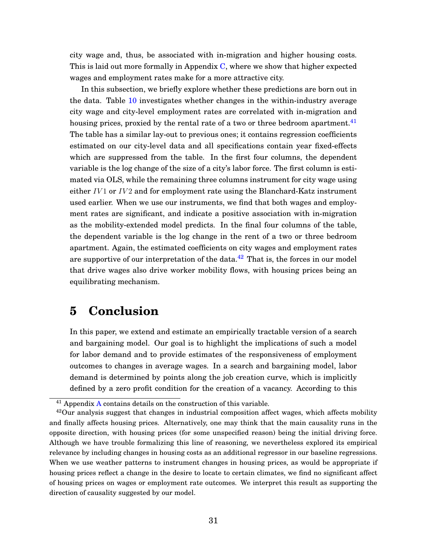city wage and, thus, be associated with in-migration and higher housing costs. This is laid out more formally in Appendix [C,](#page-37-0) where we show that higher expected wages and employment rates make for a more attractive city.

In this subsection, we briefly explore whether these predictions are born out in the data. Table [10](#page-51-1) investigates whether changes in the within-industry average city wage and city-level employment rates are correlated with in-migration and housing prices, proxied by the rental rate of a two or three bedroom apartment.<sup>[41](#page-31-0)</sup> The table has a similar lay-out to previous ones; it contains regression coefficients estimated on our city-level data and all specifications contain year fixed-effects which are suppressed from the table. In the first four columns, the dependent variable is the log change of the size of a city's labor force. The first column is estimated via OLS, while the remaining three columns instrument for city wage using either  $IV1$  or  $IV2$  and for employment rate using the Blanchard-Katz instrument used earlier. When we use our instruments, we find that both wages and employment rates are significant, and indicate a positive association with in-migration as the mobility-extended model predicts. In the final four columns of the table, the dependent variable is the log change in the rent of a two or three bedroom apartment. Again, the estimated coefficients on city wages and employment rates are supportive of our interpretation of the data. $42$  That is, the forces in our model that drive wages also drive worker mobility flows, with housing prices being an equilibrating mechanism.

## **5 Conclusion**

In this paper, we extend and estimate an empirically tractable version of a search and bargaining model. Our goal is to highlight the implications of such a model for labor demand and to provide estimates of the responsiveness of employment outcomes to changes in average wages. In a search and bargaining model, labor demand is determined by points along the job creation curve, which is implicitly defined by a zero profit condition for the creation of a vacancy. According to this

<span id="page-31-1"></span><span id="page-31-0"></span> $41$  [A](#page-33-0)ppendix A contains details on the construction of this variable.

<sup>&</sup>lt;sup>42</sup>Our analysis suggest that changes in industrial composition affect wages, which affects mobility and finally affects housing prices. Alternatively, one may think that the main causality runs in the opposite direction, with housing prices (for some unspecified reason) being the initial driving force. Although we have trouble formalizing this line of reasoning, we nevertheless explored its empirical relevance by including changes in housing costs as an additional regressor in our baseline regressions. When we use weather patterns to instrument changes in housing prices, as would be appropriate if housing prices reflect a change in the desire to locate to certain climates, we find no significant affect of housing prices on wages or employment rate outcomes. We interpret this result as supporting the direction of causality suggested by our model.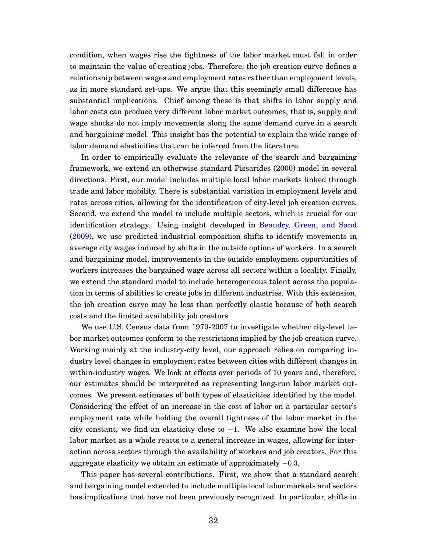condition, when wages rise the tightness of the labor market must fall in order to maintain the value of creating jobs. Therefore, the job creation curve defines a relationship between wages and employment rates rather than employment levels, as in more standard set-ups. We argue that this seemingly small difference has substantial implications. Chief among these is that shifts in labor supply and labor costs can produce very different labor market outcomes; that is, supply and wage shocks do not imply movements along the same demand curve in a search and bargaining model. This insight has the potential to explain the wide range of labor demand elasticities that can be inferred from the literature.

In order to empirically evaluate the relevance of the search and bargaining framework, we extend an otherwise standard Pissarides (2000) model in several directions. First, our model includes multiple local labor markets linked through trade and labor mobility. There is substantial variation in employment levels and rates across cities, allowing for the identification of city-level job creation curves. Second, we extend the model to include multiple sectors, which is crucial for our identification strategy. Using insight developed in [Beaudry, Green, and Sand](#page-42-2) [\(2009\)](#page-42-2), we use predicted industrial composition shifts to identify movements in average city wages induced by shifts in the outside options of workers. In a search and bargaining model, improvements in the outside employment opportunities of workers increases the bargained wage across all sectors within a locality. Finally, we extend the standard model to include heterogeneous talent across the population in terms of abilities to create jobs in different industries. With this extension, the job creation curve may be less than perfectly elastic because of both search costs and the limited availability job creators.

We use U.S. Census data from 1970-2007 to investigate whether city-level labor market outcomes conform to the restrictions implied by the job creation curve. Working mainly at the industry-city level, our approach relies on comparing industry level changes in employment rates between cities with different changes in within-industry wages. We look at effects over periods of 10 years and, therefore, our estimates should be interpreted as representing long-run labor market outcomes. We present estimates of both types of elasticities identified by the model. Considering the effect of an increase in the cost of labor on a particular sector's employment rate while holding the overall tightness of the labor market in the city constant, we find an elasticity close to −1. We also examine how the local labor market as a whole reacts to a general increase in wages, allowing for interaction across sectors through the availability of workers and job creators. For this aggregate elasticity we obtain an estimate of approximately −0.3.

This paper has several contributions. First, we show that a standard search and bargaining model extended to include multiple local labor markets and sectors has implications that have not been previously recognized. In particular, shifts in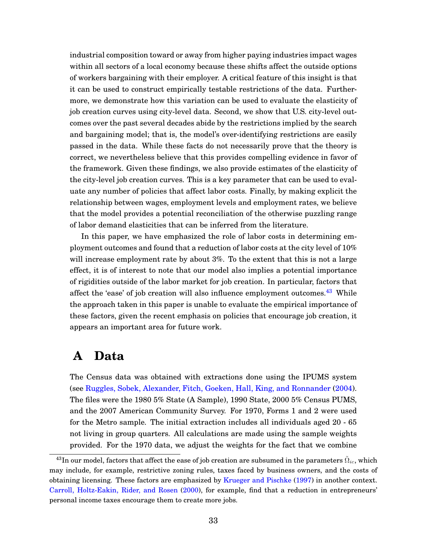industrial composition toward or away from higher paying industries impact wages within all sectors of a local economy because these shifts affect the outside options of workers bargaining with their employer. A critical feature of this insight is that it can be used to construct empirically testable restrictions of the data. Furthermore, we demonstrate how this variation can be used to evaluate the elasticity of job creation curves using city-level data. Second, we show that U.S. city-level outcomes over the past several decades abide by the restrictions implied by the search and bargaining model; that is, the model's over-identifying restrictions are easily passed in the data. While these facts do not necessarily prove that the theory is correct, we nevertheless believe that this provides compelling evidence in favor of the framework. Given these findings, we also provide estimates of the elasticity of the city-level job creation curves. This is a key parameter that can be used to evaluate any number of policies that affect labor costs. Finally, by making explicit the relationship between wages, employment levels and employment rates, we believe that the model provides a potential reconciliation of the otherwise puzzling range of labor demand elasticities that can be inferred from the literature.

In this paper, we have emphasized the role of labor costs in determining employment outcomes and found that a reduction of labor costs at the city level of 10% will increase employment rate by about  $3\%$ . To the extent that this is not a large effect, it is of interest to note that our model also implies a potential importance of rigidities outside of the labor market for job creation. In particular, factors that affect the 'ease' of job creation will also influence employment outcomes.<sup>[43](#page-33-1)</sup> While the approach taken in this paper is unable to evaluate the empirical importance of these factors, given the recent emphasis on policies that encourage job creation, it appears an important area for future work.

## <span id="page-33-0"></span>**A Data**

The Census data was obtained with extractions done using the IPUMS system (see [Ruggles, Sobek, Alexander, Fitch, Goeken, Hall, King, and Ronnander](#page-44-2) [\(2004\)](#page-44-2). The files were the 1980 5% State (A Sample), 1990 State, 2000 5% Census PUMS, and the 2007 American Community Survey. For 1970, Forms 1 and 2 were used for the Metro sample. The initial extraction includes all individuals aged 20 - 65 not living in group quarters. All calculations are made using the sample weights provided. For the 1970 data, we adjust the weights for the fact that we combine

<span id="page-33-1"></span> $^{43}{\rm In}$  our model, factors that affect the ease of job creation are subsumed in the parameters  $\tilde{\Omega}_{ic}$ , which may include, for example, restrictive zoning rules, taxes faced by business owners, and the costs of obtaining licensing. These factors are emphasized by [Krueger and Pischke](#page-43-1) [\(1997\)](#page-43-1) in another context. [Carroll, Holtz-Eakin, Rider, and Rosen](#page-43-12) [\(2000\)](#page-43-12), for example, find that a reduction in entrepreneurs' personal income taxes encourage them to create more jobs.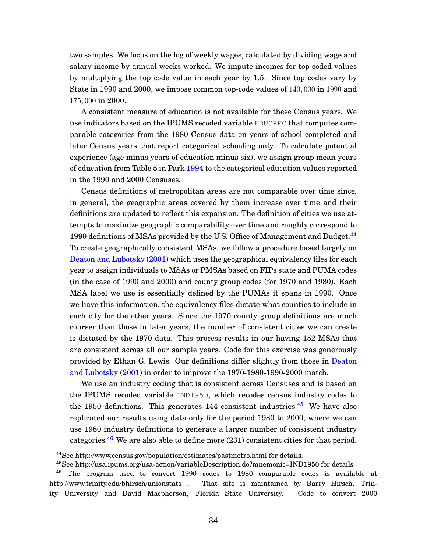two samples. We focus on the log of weekly wages, calculated by dividing wage and salary income by annual weeks worked. We impute incomes for top coded values by multiplying the top code value in each year by 1.5. Since top codes vary by State in 1990 and 2000, we impose common top-code values of 140, 000 in 1990 and 175, 000 in 2000.

A consistent measure of education is not available for these Census years. We use indicators based on the IPUMS recoded variable EDUCREC that computes comparable categories from the 1980 Census data on years of school completed and later Census years that report categorical schooling only. To calculate potential experience (age minus years of education minus six), we assign group mean years of education from Table 5 in Park [1994](#page-44-5) to the categorical education values reported in the 1990 and 2000 Censuses.

Census definitions of metropolitan areas are not comparable over time since, in general, the geographic areas covered by them increase over time and their definitions are updated to reflect this expansion. The definition of cities we use attempts to maximize geographic comparability over time and roughly correspond to 1990 definitions of MSAs provided by the U.S. Office of Management and Budget.<sup>[44](#page-34-0)</sup> To create geographically consistent MSAs, we follow a procedure based largely on [Deaton and Lubotsky](#page-43-13) [\(2001\)](#page-43-13) which uses the geographical equivalency files for each year to assign individuals to MSAs or PMSAs based on FIPs state and PUMA codes (in the case of 1990 and 2000) and county group codes (for 1970 and 1980). Each MSA label we use is essentially defined by the PUMAs it spans in 1990. Once we have this information, the equivalency files dictate what counties to include in each city for the other years. Since the 1970 county group definitions are much courser than those in later years, the number of consistent cities we can create is dictated by the 1970 data. This process results in our having 152 MSAs that are consistent across all our sample years. Code for this exercise was generously provided by Ethan G. Lewis. Our definitions differ slightly from those in [Deaton](#page-43-13) [and Lubotsky](#page-43-13) [\(2001\)](#page-43-13) in order to improve the 1970-1980-1990-2000 match.

We use an industry coding that is consistent across Censuses and is based on the IPUMS recoded variable IND1950, which recodes census industry codes to the 1950 definitions. This generates 144 consistent industries.<sup>[45](#page-34-1)</sup> We have also replicated our results using data only for the period 1980 to 2000, where we can use 1980 industry definitions to generate a larger number of consistent industry categories.<sup>[46](#page-34-2)</sup> We are also able to define more  $(231)$  consistent cities for that period.

<span id="page-34-0"></span><sup>44</sup>See http://www.census.gov/population/estimates/pastmetro.html for details.

<span id="page-34-2"></span><span id="page-34-1"></span><sup>45</sup>See http://usa.ipums.org/usa-action/variableDescription.do?mnemonic=IND1950 for details.

<sup>46</sup> The program used to convert 1990 codes to 1980 comparable codes is available at http://www.trinity.edu/bhirsch/unionstats . That site is maintained by Barry Hirsch, Trinity University and David Macpherson, Florida State University. Code to convert 2000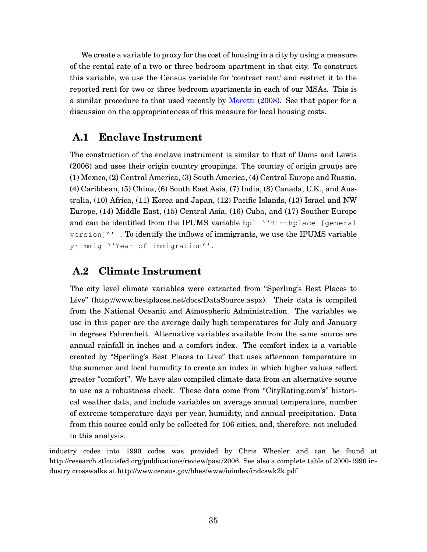We create a variable to proxy for the cost of housing in a city by using a measure of the rental rate of a two or three bedroom apartment in that city. To construct this variable, we use the Census variable for 'contract rent' and restrict it to the reported rent for two or three bedroom apartments in each of our MSAs. This is a similar procedure to that used recently by [Moretti](#page-44-6) [\(2008\)](#page-44-6). See that paper for a discussion on the appropriateness of this measure for local housing costs.

### **A.1 Enclave Instrument**

The construction of the enclave instrument is similar to that of Doms and Lewis (2006) and uses their origin country groupings. The country of origin groups are (1) Mexico, (2) Central America, (3) South America, (4) Central Europe and Russia, (4) Caribbean, (5) China, (6) South East Asia, (7) India, (8) Canada, U.K., and Australia, (10) Africa, (11) Korea and Japan, (12) Pacific Islands, (13) Israel and NW Europe, (14) Middle East, (15) Central Asia, (16) Cuba, and (17) Souther Europe and can be identified from the IPUMS variable bpl ''Birthplace [general version]'' . To identify the inflows of immigrants, we use the IPUMS variable yrimmig ''Year of immigration''.

### **A.2 Climate Instrument**

The city level climate variables were extracted from "Sperling's Best Places to Live" (http://www.bestplaces.net/docs/DataSource.aspx). Their data is compiled from the National Oceanic and Atmospheric Administration. The variables we use in this paper are the average daily high temperatures for July and January in degrees Fahrenheit. Alternative variables available from the same source are annual rainfall in inches and a comfort index. The comfort index is a variable created by "Sperling's Best Places to Live" that uses afternoon temperature in the summer and local humidity to create an index in which higher values reflect greater "comfort". We have also compiled climate data from an alternative source to use as a robustness check. These data come from "CityRating.com's" historical weather data, and include variables on average annual temperature, number of extreme temperature days per year, humidity, and annual precipitation. Data from this source could only be collected for 106 cities, and, therefore, not included in this analysis.

industry codes into 1990 codes was provided by Chris Wheeler and can be found at http://research.stlouisfed.org/publications/review/past/2006. See also a complete table of 2000-1990 industry crosswalks at http://www.census.gov/hhes/www/ioindex/indcswk2k.pdf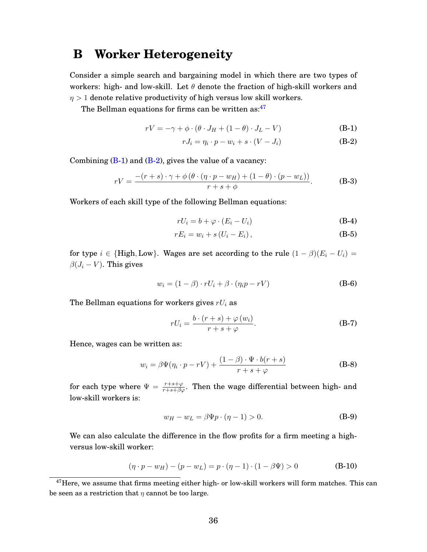### <span id="page-36-0"></span>**B Worker Heterogeneity**

Consider a simple search and bargaining model in which there are two types of workers: high- and low-skill. Let  $\theta$  denote the fraction of high-skill workers and  $\eta > 1$  denote relative productivity of high versus low skill workers.

The Bellman equations for firms can be written as: $47$ 

$$
rV = -\gamma + \phi \cdot (\theta \cdot J_H + (1 - \theta) \cdot J_L - V) \tag{B-1}
$$

<span id="page-36-3"></span><span id="page-36-2"></span>
$$
rJ_i = \eta_i \cdot p - w_i + s \cdot (V - J_i)
$$
 (B-2)

Combining  $(B-1)$  and  $(B-2)$ , gives the value of a vacancy:

$$
rV = \frac{-(r+s)\cdot\gamma + \phi\left(\theta\cdot(\eta\cdot p - w_H) + (1-\theta)\cdot(p - w_L)\right)}{r+s+\phi}.
$$
 (B-3)

Workers of each skill type of the following Bellman equations:

$$
rU_i = b + \varphi \cdot (E_i - U_i) \tag{B-4}
$$

$$
rE_i = w_i + s\left(U_i - E_i\right),\tag{B-5}
$$

for type  $i \in \{\text{High}, \text{Low}\}\$ . Wages are set according to the rule  $(1 - \beta)(E_i - U_i) =$  $\beta(J_i-V)$ . This gives

$$
w_i = (1 - \beta) \cdot rU_i + \beta \cdot (\eta_i p - rV) \tag{B-6}
$$

The Bellman equations for workers gives  $rU_i$  as

$$
rU_i = \frac{b \cdot (r+s) + \varphi(w_i)}{r+s+\varphi}.
$$
 (B-7)

Hence, wages can be written as:

$$
w_i = \beta \Psi(\eta_i \cdot p - rV) + \frac{(1 - \beta) \cdot \Psi \cdot b(r + s)}{r + s + \varphi}
$$
 (B-8)

for each type where  $\Psi = \frac{r+s+\varphi}{r+s+\beta\varphi}$ . Then the wage differential between high- and low-skill workers is:

$$
w_H - w_L = \beta \Psi p \cdot (\eta - 1) > 0. \tag{B-9}
$$

We can also calculate the difference in the flow profits for a firm meeting a highversus low-skill worker:

$$
(\eta \cdot p - w_H) - (p - w_L) = p \cdot (\eta - 1) \cdot (1 - \beta \Psi) > 0
$$
 (B-10)

<span id="page-36-1"></span><sup>&</sup>lt;sup>47</sup>Here, we assume that firms meeting either high- or low-skill workers will form matches. This can be seen as a restriction that  $\eta$  cannot be too large.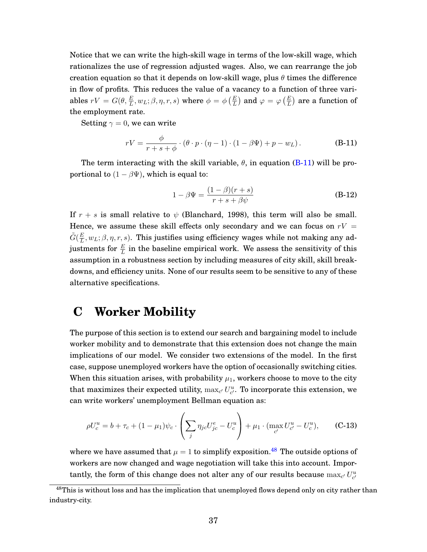Notice that we can write the high-skill wage in terms of the low-skill wage, which rationalizes the use of regression adjusted wages. Also, we can rearrange the job creation equation so that it depends on low-skill wage, plus  $\theta$  times the difference in flow of profits. This reduces the value of a vacancy to a function of three variables  $rV=G(\theta,\frac{E}{L},w_L;\beta,\eta,r,s)$  where  $\phi=\phi\left(\frac{E}{L}\right)$  and  $\varphi=\varphi\left(\frac{E}{L}\right)$  are a function of the employment rate.

Setting  $\gamma = 0$ , we can write

$$
rV = \frac{\phi}{r+s+\phi} \cdot (\theta \cdot p \cdot (\eta - 1) \cdot (1 - \beta \Psi) + p - w_L). \tag{B-11}
$$

The term interacting with the skill variable,  $\theta$ , in equation [\(B-11\)](#page-37-1) will be proportional to  $(1 - \beta \Psi)$ , which is equal to:

<span id="page-37-1"></span>
$$
1 - \beta \Psi = \frac{(1 - \beta)(r + s)}{r + s + \beta \psi}
$$
 (B-12)

If  $r + s$  is small relative to  $\psi$  (Blanchard, 1998), this term will also be small. Hence, we assume these skill effects only secondary and we can focus on  $rV =$  $\tilde{G}(\frac{E}{L}$  $\frac{E}{L}, w_L; \beta, \eta, r, s)$ . This justifies using efficiency wages while not making any adjustments for  $\frac{E}{L}$  in the baseline empirical work. We assess the sensitivity of this assumption in a robustness section by including measures of city skill, skill breakdowns, and efficiency units. None of our results seem to be sensitive to any of these alternative specifications.

### <span id="page-37-0"></span>**C Worker Mobility**

The purpose of this section is to extend our search and bargaining model to include worker mobility and to demonstrate that this extension does not change the main implications of our model. We consider two extensions of the model. In the first case, suppose unemployed workers have the option of occasionally switching cities. When this situation arises, with probability  $\mu_1$ , workers choose to move to the city that maximizes their expected utility,  $\max_{c'} U_{c'}^u$ . To incorporate this extension, we can write workers' unemployment Bellman equation as:

<span id="page-37-3"></span>
$$
\rho U_c^u = b + \tau_c + (1 - \mu_1)\psi_c \cdot \left(\sum_j \eta_{jc} U_{jc}^e - U_c^u\right) + \mu_1 \cdot (\max_{c'} U_{c'}^u - U_c^u), \qquad \text{(C-13)}
$$

where we have assumed that  $\mu = 1$  to simplify exposition.<sup>[48](#page-37-2)</sup> The outside options of workers are now changed and wage negotiation will take this into account. Importantly, the form of this change does not alter any of our results because  $\max_{c'} U^u_{c'}$ 

<span id="page-37-2"></span><sup>&</sup>lt;sup>48</sup>This is without loss and has the implication that unemployed flows depend only on city rather than industry-city.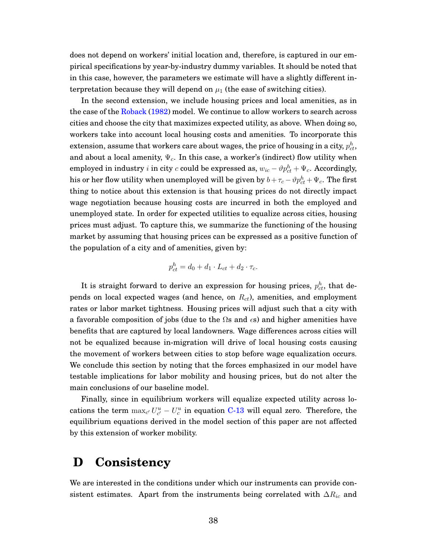does not depend on workers' initial location and, therefore, is captured in our empirical specifications by year-by-industry dummy variables. It should be noted that in this case, however, the parameters we estimate will have a slightly different interpretation because they will depend on  $\mu_1$  (the ease of switching cities).

In the second extension, we include housing prices and local amenities, as in the case of the [Roback](#page-44-7) [\(1982\)](#page-44-7) model. We continue to allow workers to search across cities and choose the city that maximizes expected utility, as above. When doing so, workers take into account local housing costs and amenities. To incorporate this extension, assume that workers care about wages, the price of housing in a city,  $p_{ct}^h,$ and about a local amenity,  $\Psi_c$ . In this case, a worker's (indirect) flow utility when employed in industry  $i$  in city  $c$  could be expressed as,  $w_{ic} - \vartheta p_{ct}^h + \Psi_c$ . Accordingly, his or her flow utility when unemployed will be given by  $b+\tau_c - \vartheta p_{ct}^h + \Psi_c.$  The first thing to notice about this extension is that housing prices do not directly impact wage negotiation because housing costs are incurred in both the employed and unemployed state. In order for expected utilities to equalize across cities, housing prices must adjust. To capture this, we summarize the functioning of the housing market by assuming that housing prices can be expressed as a positive function of the population of a city and of amenities, given by:

$$
p_{ct}^h = d_0 + d_1 \cdot L_{ct} + d_2 \cdot \tau_c.
$$

It is straight forward to derive an expression for housing prices,  $p_{ct}^h$ , that depends on local expected wages (and hence, on  $R_{ct}$ ), amenities, and employment rates or labor market tightness. Housing prices will adjust such that a city with a favorable composition of jobs (due to the  $\Omega$ s and  $\epsilon$ s) and higher amenities have benefits that are captured by local landowners. Wage differences across cities will not be equalized because in-migration will drive of local housing costs causing the movement of workers between cities to stop before wage equalization occurs. We conclude this section by noting that the forces emphasized in our model have testable implications for labor mobility and housing prices, but do not alter the main conclusions of our baseline model.

Finally, since in equilibrium workers will equalize expected utility across locations the term  $\max_{c'} U_{c'}^u - U_c^u$  in equation [C-13](#page-37-3) will equal zero. Therefore, the equilibrium equations derived in the model section of this paper are not affected by this extension of worker mobility.

## <span id="page-38-0"></span>**D Consistency**

We are interested in the conditions under which our instruments can provide consistent estimates. Apart from the instruments being correlated with  $\Delta R_{ic}$  and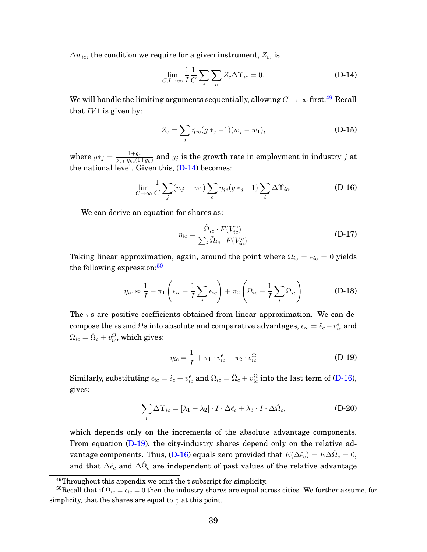$\Delta w_{ic}$ , the condition we require for a given instrument,  $Z_c$ , is

<span id="page-39-1"></span>
$$
\lim_{C, I \to \infty} \frac{1}{I} \frac{1}{C} \sum_{i} \sum_{c} Z_c \Delta \Upsilon_{ic} = 0.
$$
 (D-14)

We will handle the limiting arguments sequentially, allowing  $C\rightarrow\infty$  first.<sup>[49](#page-39-0)</sup> Recall that  $IV1$  is given by:

$$
Z_c = \sum_j \eta_{jc}(g *_{j} - 1)(w_j - w_1),
$$
 (D-15)

where  $g*_j = \frac{1+g_j}{\sum_k \eta_{kc}(1)}$  $\frac{1+g_j}{k\eta_{kc}(1+g_k)}$  and  $g_j$  is the growth rate in employment in industry  $j$  at the national level. Given this,  $(D-14)$  becomes:

$$
\lim_{C \to \infty} \frac{1}{C} \sum_{j} (w_j - w_1) \sum_{c} \eta_{jc} (g *_{j} - 1) \sum_{i} \Delta \Upsilon_{ic}.
$$
 (D-16)

We can derive an equation for shares as:

<span id="page-39-3"></span>
$$
\eta_{ic} = \frac{\tilde{\Omega}_{ic} \cdot F(V_{ic}^v)}{\sum_i \tilde{\Omega}_{ic} \cdot F(V_{ic}^v)}
$$
(D-17)

Taking linear approximation, again, around the point where  $\Omega_{ic} = \epsilon_{ic} = 0$  yields the following expression: $50$ 

$$
\eta_{ic} \approx \frac{1}{I} + \pi_1 \left( \epsilon_{ic} - \frac{1}{I} \sum_i \epsilon_{ic} \right) + \pi_2 \left( \Omega_{ic} - \frac{1}{I} \sum_i \Omega_{ic} \right) \tag{D-18}
$$

The  $\pi s$  are positive coefficients obtained from linear approximation. We can decompose the  $\epsilon$ s and  $\Omega$ s into absolute and comparative advantages,  $\epsilon_{ic} = \hat{\epsilon}_c + v^{\epsilon}_{ic}$  and  $\Omega_{ic} = \hat{\Omega}_c + v_{ic}^{\Omega}$ , which gives:

<span id="page-39-4"></span>
$$
\eta_{ic} = \frac{1}{I} + \pi_1 \cdot v_{ic}^{\epsilon} + \pi_2 \cdot v_{ic}^{\Omega}
$$
 (D-19)

Similarly, substituting  $\epsilon_{ic}=\hat{\epsilon}_c+v^{\epsilon}_{ic}$  and  $\Omega_{ic}=\hat{\Omega}_c+v^{\Omega}_{ic}$  into the last term of [\(D-16\)](#page-39-3), gives:

$$
\sum_{i} \Delta \Upsilon_{ic} = [\lambda_1 + \lambda_2] \cdot I \cdot \Delta \hat{\epsilon}_c + \lambda_3 \cdot I \cdot \Delta \hat{\Omega}_c, \tag{D-20}
$$

which depends only on the increments of the absolute advantage components. From equation [\(D-19\)](#page-39-4), the city-industry shares depend only on the relative ad-vantage components. Thus, [\(D-16\)](#page-39-3) equals zero provided that  $E(\Delta \hat{\epsilon}_c) = E \Delta \hat{\Omega}_c = 0,$ and that  $\Delta \hat{\epsilon}_c$  and  $\Delta \hat{\Omega}_c$  are independent of past values of the relative advantage

<span id="page-39-2"></span><span id="page-39-0"></span><sup>49</sup>Throughout this appendix we omit the t subscript for simplicity.

<sup>&</sup>lt;sup>50</sup>Recall that if  $\Omega_{ic} = \epsilon_{ic} = 0$  then the industry shares are equal across cities. We further assume, for simplicity, that the shares are equal to  $\frac{1}{I}$  at this point.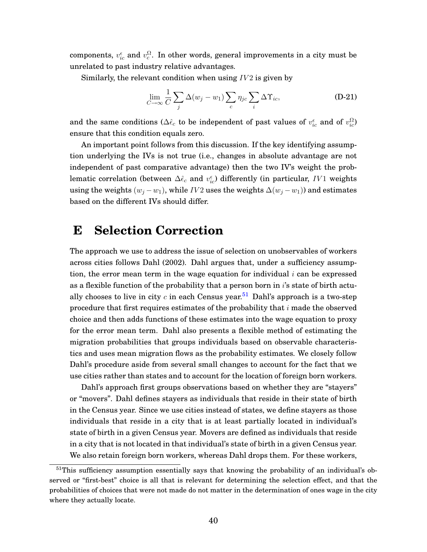components,  $v_{ic}^{\epsilon}$  and  $v_{c}^{\Omega}.$  In other words, general improvements in a city must be unrelated to past industry relative advantages.

Similarly, the relevant condition when using  $IV2$  is given by

$$
\lim_{C \to \infty} \frac{1}{C} \sum_{j} \Delta(w_j - w_1) \sum_{c} \eta_{jc} \sum_{i} \Delta \Upsilon_{ic},
$$
 (D-21)

and the same conditions ( $\Delta \hat{\epsilon}_c$  to be independent of past values of  $v_{ic}^{\epsilon}$  and of  $v_{ic}^{\Omega}$ ) ensure that this condition equals zero.

An important point follows from this discussion. If the key identifying assumption underlying the IVs is not true (i.e., changes in absolute advantage are not independent of past comparative advantage) then the two IV's weight the problematic correlation (between  $\Delta \hat{\epsilon}_c$  and  $v_{ic}^\epsilon$ ) differently (in particular,  $IV1$  weights using the weights  $(w_j - w_1)$ , while IV2 uses the weights  $\Delta(w_j - w_1)$  and estimates based on the different IVs should differ.

### <span id="page-40-0"></span>**E Selection Correction**

The approach we use to address the issue of selection on unobservables of workers across cities follows Dahl (2002). Dahl argues that, under a sufficiency assumption, the error mean term in the wage equation for individual  $i$  can be expressed as a flexible function of the probability that a person born in  $i$ 's state of birth actu-ally chooses to live in city c in each Census year.<sup>[51](#page-40-1)</sup> Dahl's approach is a two-step procedure that first requires estimates of the probability that  $i$  made the observed choice and then adds functions of these estimates into the wage equation to proxy for the error mean term. Dahl also presents a flexible method of estimating the migration probabilities that groups individuals based on observable characteristics and uses mean migration flows as the probability estimates. We closely follow Dahl's procedure aside from several small changes to account for the fact that we use cities rather than states and to account for the location of foreign born workers.

Dahl's approach first groups observations based on whether they are "stayers" or "movers". Dahl defines stayers as individuals that reside in their state of birth in the Census year. Since we use cities instead of states, we define stayers as those individuals that reside in a city that is at least partially located in individual's state of birth in a given Census year. Movers are defined as individuals that reside in a city that is not located in that individual's state of birth in a given Census year. We also retain foreign born workers, whereas Dahl drops them. For these workers,

<span id="page-40-1"></span><sup>&</sup>lt;sup>51</sup>This sufficiency assumption essentially says that knowing the probability of an individual's observed or "first-best" choice is all that is relevant for determining the selection effect, and that the probabilities of choices that were not made do not matter in the determination of ones wage in the city where they actually locate.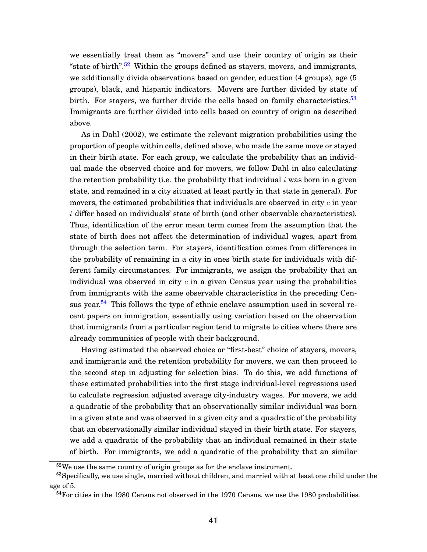we essentially treat them as "movers" and use their country of origin as their "state of birth".<sup>[52](#page-41-0)</sup> Within the groups defined as stayers, movers, and immigrants, we additionally divide observations based on gender, education (4 groups), age (5 groups), black, and hispanic indicators. Movers are further divided by state of birth. For stayers, we further divide the cells based on family characteristics.<sup>[53](#page-41-1)</sup> Immigrants are further divided into cells based on country of origin as described above.

As in Dahl (2002), we estimate the relevant migration probabilities using the proportion of people within cells, defined above, who made the same move or stayed in their birth state. For each group, we calculate the probability that an individual made the observed choice and for movers, we follow Dahl in also calculating the retention probability (i.e. the probability that individual  $i$  was born in a given state, and remained in a city situated at least partly in that state in general). For movers, the estimated probabilities that individuals are observed in city  $c$  in year t differ based on individuals' state of birth (and other observable characteristics). Thus, identification of the error mean term comes from the assumption that the state of birth does not affect the determination of individual wages, apart from through the selection term. For stayers, identification comes from differences in the probability of remaining in a city in ones birth state for individuals with different family circumstances. For immigrants, we assign the probability that an individual was observed in city  $c$  in a given Census year using the probabilities from immigrants with the same observable characteristics in the preceding Cen-sus year.<sup>[54](#page-41-2)</sup> This follows the type of ethnic enclave assumption used in several recent papers on immigration, essentially using variation based on the observation that immigrants from a particular region tend to migrate to cities where there are already communities of people with their background.

Having estimated the observed choice or "first-best" choice of stayers, movers, and immigrants and the retention probability for movers, we can then proceed to the second step in adjusting for selection bias. To do this, we add functions of these estimated probabilities into the first stage individual-level regressions used to calculate regression adjusted average city-industry wages. For movers, we add a quadratic of the probability that an observationally similar individual was born in a given state and was observed in a given city and a quadratic of the probability that an observationally similar individual stayed in their birth state. For stayers, we add a quadratic of the probability that an individual remained in their state of birth. For immigrants, we add a quadratic of the probability that an similar

<span id="page-41-1"></span><span id="page-41-0"></span><sup>&</sup>lt;sup>52</sup>We use the same country of origin groups as for the enclave instrument.

<sup>&</sup>lt;sup>53</sup>Specifically, we use single, married without children, and married with at least one child under the age of 5.

<span id="page-41-2"></span> $54$  For cities in the 1980 Census not observed in the 1970 Census, we use the 1980 probabilities.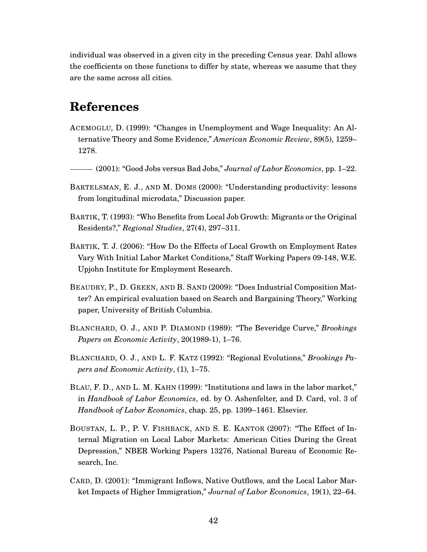individual was observed in a given city in the preceding Census year. Dahl allows the coefficients on these functions to differ by state, whereas we assume that they are the same across all cities.

# **References**

- <span id="page-42-5"></span>ACEMOGLU, D. (1999): "Changes in Unemployment and Wage Inequality: An Alternative Theory and Some Evidence," *American Economic Review*, 89(5), 1259– 1278.
- <span id="page-42-6"></span>(2001): "Good Jobs versus Bad Jobs," *Journal of Labor Economics*, pp. 1–22.
- <span id="page-42-3"></span>BARTELSMAN, E. J., AND M. DOMS (2000): "Understanding productivity: lessons from longitudinal microdata," Discussion paper.
- <span id="page-42-7"></span>BARTIK, T. (1993): "Who Benefits from Local Job Growth: Migrants or the Original Residents?," *Regional Studies*, 27(4), 297–311.
- <span id="page-42-8"></span>BARTIK, T. J. (2006): "How Do the Effects of Local Growth on Employment Rates Vary With Initial Labor Market Conditions," Staff Working Papers 09-148, W.E. Upjohn Institute for Employment Research.
- <span id="page-42-2"></span>BEAUDRY, P., D. GREEN, AND B. SAND (2009): "Does Industrial Composition Matter? An empirical evaluation based on Search and Bargaining Theory," Working paper, University of British Columbia.
- <span id="page-42-4"></span>BLANCHARD, O. J., AND P. DIAMOND (1989): "The Beveridge Curve," *Brookings Papers on Economic Activity*, 20(1989-1), 1–76.
- <span id="page-42-1"></span>BLANCHARD, O. J., AND L. F. KATZ (1992): "Regional Evolutions," *Brookings Papers and Economic Activity*, (1), 1–75.
- <span id="page-42-0"></span>BLAU, F. D., AND L. M. KAHN (1999): "Institutions and laws in the labor market," in *Handbook of Labor Economics*, ed. by O. Ashenfelter, and D. Card, vol. 3 of *Handbook of Labor Economics*, chap. 25, pp. 1399–1461. Elsevier.
- <span id="page-42-9"></span>BOUSTAN, L. P., P. V. FISHBACK, AND S. E. KANTOR (2007): "The Effect of Internal Migration on Local Labor Markets: American Cities During the Great Depression," NBER Working Papers 13276, National Bureau of Economic Research, Inc.
- <span id="page-42-10"></span>CARD, D. (2001): "Immigrant Inflows, Native Outflows, and the Local Labor Market Impacts of Higher Immigration," *Journal of Labor Economics*, 19(1), 22–64.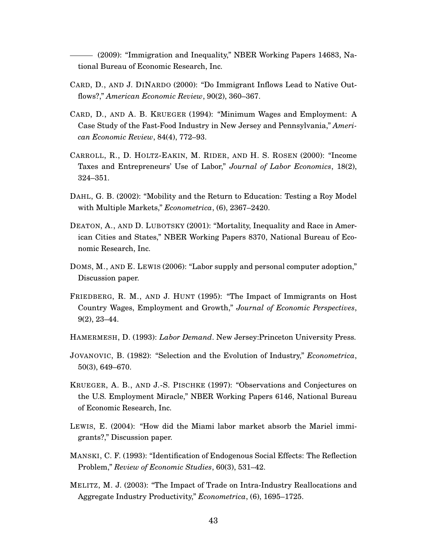<span id="page-43-7"></span>(2009): "Immigration and Inequality," NBER Working Papers 14683, National Bureau of Economic Research, Inc.

- <span id="page-43-11"></span>CARD, D., AND J. DINARDO (2000): "Do Immigrant Inflows Lead to Native Outflows?," *American Economic Review*, 90(2), 360–367.
- <span id="page-43-2"></span>CARD, D., AND A. B. KRUEGER (1994): "Minimum Wages and Employment: A Case Study of the Fast-Food Industry in New Jersey and Pennsylvania," *American Economic Review*, 84(4), 772–93.
- <span id="page-43-12"></span>CARROLL, R., D. HOLTZ-EAKIN, M. RIDER, AND H. S. ROSEN (2000): "Income Taxes and Entrepreneurs' Use of Labor," *Journal of Labor Economics*, 18(2), 324–351.
- <span id="page-43-9"></span>DAHL, G. B. (2002): "Mobility and the Return to Education: Testing a Roy Model with Multiple Markets," *Econometrica*, (6), 2367–2420.
- <span id="page-43-13"></span>DEATON, A., AND D. LUBOTSKY (2001): "Mortality, Inequality and Race in American Cities and States," NBER Working Papers 8370, National Bureau of Economic Research, Inc.
- <span id="page-43-10"></span>DOMS, M., AND E. LEWIS (2006): "Labor supply and personal computer adoption," Discussion paper.
- <span id="page-43-3"></span>FRIEDBERG, R. M., AND J. HUNT (1995): "The Impact of Immigrants on Host Country Wages, Employment and Growth," *Journal of Economic Perspectives*, 9(2), 23–44.
- <span id="page-43-0"></span>HAMERMESH, D. (1993): *Labor Demand*. New Jersey:Princeton University Press.
- <span id="page-43-4"></span>JOVANOVIC, B. (1982): "Selection and the Evolution of Industry," *Econometrica*, 50(3), 649–670.
- <span id="page-43-1"></span>KRUEGER, A. B., AND J.-S. PISCHKE (1997): "Observations and Conjectures on the U.S. Employment Miracle," NBER Working Papers 6146, National Bureau of Economic Research, Inc.
- <span id="page-43-6"></span>LEWIS, E. (2004): "How did the Miami labor market absorb the Mariel immigrants?," Discussion paper.
- <span id="page-43-8"></span>MANSKI, C. F. (1993): "Identification of Endogenous Social Effects: The Reflection Problem," *Review of Economic Studies*, 60(3), 531–42.
- <span id="page-43-5"></span>MELITZ, M. J. (2003): "The Impact of Trade on Intra-Industry Reallocations and Aggregate Industry Productivity," *Econometrica*, (6), 1695–1725.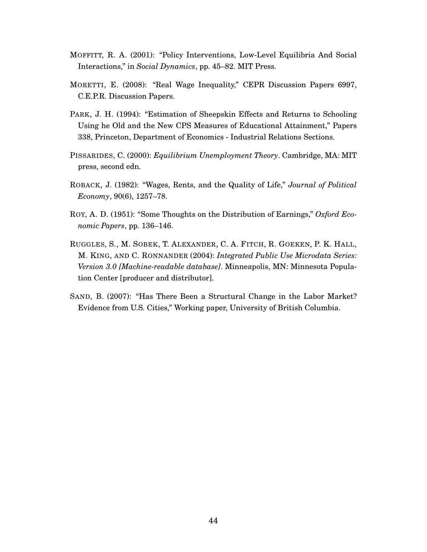- <span id="page-44-1"></span>MOFFITT, R. A. (2001): "Policy Interventions, Low-Level Equilibria And Social Interactions," in *Social Dynamics*, pp. 45–82. MIT Press.
- <span id="page-44-6"></span>MORETTI, E. (2008): "Real Wage Inequality," CEPR Discussion Papers 6997, C.E.P.R. Discussion Papers.
- <span id="page-44-5"></span>PARK, J. H. (1994): "Estimation of Sheepskin Effects and Returns to Schooling Using he Old and the New CPS Measures of Educational Attainment," Papers 338, Princeton, Department of Economics - Industrial Relations Sections.
- <span id="page-44-0"></span>PISSARIDES, C. (2000): *Equilibrium Unemployment Theory*. Cambridge, MA: MIT press, second edn.
- <span id="page-44-7"></span>ROBACK, J. (1982): "Wages, Rents, and the Quality of Life," *Journal of Political Economy*, 90(6), 1257–78.
- <span id="page-44-3"></span>ROY, A. D. (1951): "Some Thoughts on the Distribution of Earnings," *Oxford Economic Papers*, pp. 136–146.
- <span id="page-44-2"></span>RUGGLES, S., M. SOBEK, T. ALEXANDER, C. A. FITCH, R. GOEKEN, P. K. HALL, M. KING, AND C. RONNANDER (2004): *Integrated Public Use Microdata Series: Version 3.0 [Machine-readable database]*. Minneapolis, MN: Minnesota Population Center [producer and distributor].
- <span id="page-44-4"></span>SAND, B. (2007): "Has There Been a Structural Change in the Labor Market? Evidence from U.S. Cities," Working paper, University of British Columbia.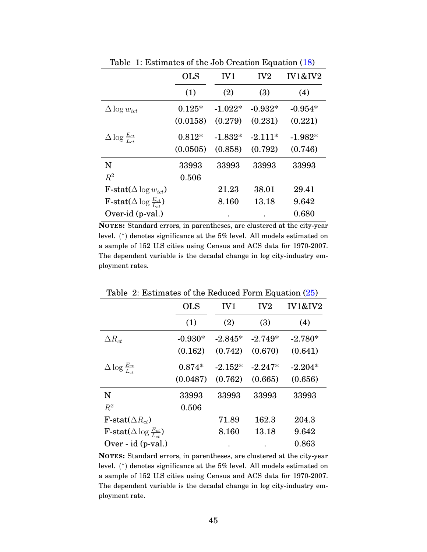|                                               | <b>OLS</b> | IV1       | IV <sub>2</sub> | <b>IV1&amp;IV2</b> |
|-----------------------------------------------|------------|-----------|-----------------|--------------------|
|                                               | (1)        | (2)       | (3)             | (4)                |
| $\Delta \log w_{ict}$                         | $0.125*$   | $-1.022*$ | $-0.932*$       | $-0.954*$          |
|                                               | (0.0158)   | (0.279)   | (0.231)         | (0.221)            |
| $\Delta \log \frac{E_{ct}}{I_{tot}}$          | $0.812*$   | $-1.832*$ | $-2.111*$       | $-1.982*$          |
|                                               | (0.0505)   | (0.858)   | (0.792)         | (0.746)            |
| N                                             | 33993      | 33993     | 33993           | 33993              |
| $R^2$                                         | 0.506      |           |                 |                    |
| <b>F</b> -stat( $\Delta$ log $w_{ict}$ )      |            | 21.23     | 38.01           | 29.41              |
| F-stat( $\Delta \log \frac{E_{ct}}{L_{ct}}$ ) |            | 8.160     | 13.18           | 9.642              |
| Over-id (p-val.)                              |            |           |                 | 0.680              |

<span id="page-45-0"></span>Table 1: Estimates of the Job Creation Equation [\(18\)](#page-10-1)

**NOTES:** Standard errors, in parentheses, are clustered at the city-year level. ( ∗ ) denotes significance at the 5% level. All models estimated on a sample of 152 U.S cities using Census and ACS data for 1970-2007. The dependent variable is the decadal change in log city-industry employment rates.

|                                                        | <b>OLS</b> | IV1       | IV <sub>2</sub> | IV1&IV2   |
|--------------------------------------------------------|------------|-----------|-----------------|-----------|
|                                                        | (1)        | (2)       | (3)             | (4)       |
| $\Delta R_{ct}$                                        | $-0.930*$  | $-2.845*$ | $-2.749*$       | $-2.780*$ |
|                                                        | (0.162)    | (0.742)   | (0.670)         | (0.641)   |
| $\Delta \log \frac{E_{ct}}{L_{ct}}$                    | $0.874*$   | $-2.152*$ | $-2.247*$       | $-2.204*$ |
|                                                        | (0.0487)   | (0.762)   | (0.665)         | (0.656)   |
| N                                                      | 33993      | 33993     | 33993           | 33993     |
| $R^2$                                                  | 0.506      |           |                 |           |
| F-stat $(\Delta R_{ct})$                               |            | 71.89     | 162.3           | 204.3     |
| <b>F</b> -stat( $\Delta$ log $\frac{E_{ct}}{L_{ct}}$ ) |            | 8.160     | 13.18           | 9.642     |
| Over - id (p-val.)                                     |            |           |                 | 0.863     |

<span id="page-45-1"></span>Table 2: Estimates of the Reduced Form Equation [\(25\)](#page-13-2)

**NOTES:** Standard errors, in parentheses, are clustered at the city-year level. ( ∗ ) denotes significance at the 5% level. All models estimated on a sample of 152 U.S cities using Census and ACS data for 1970-2007. The dependent variable is the decadal change in log city-industry employment rate.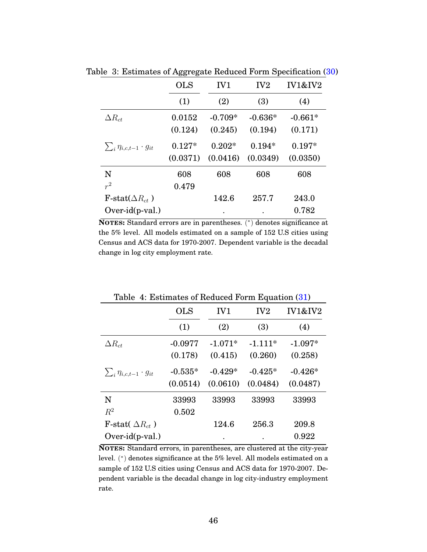<span id="page-46-0"></span>

|                                      | <b>OLS</b> | IV1       | IV <sub>2</sub> | IV1&IV2   |
|--------------------------------------|------------|-----------|-----------------|-----------|
|                                      | (1)        | (2)       | (3)             | (4)       |
| $\Delta R_{ct}$                      | 0.0152     | $-0.709*$ | $-0.636*$       | $-0.661*$ |
|                                      | (0.124)    | (0.245)   | (0.194)         | (0.171)   |
| $\sum_i \eta_{i,c,t-1} \cdot g_{it}$ | $0.127*$   | $0.202*$  | $0.194*$        | $0.197*$  |
|                                      | (0.0371)   | (0.0416)  | (0.0349)        | (0.0350)  |
| N                                    | 608        | 608       | 608             | 608       |
| $r^2$                                | 0.479      |           |                 |           |
| F-stat( $\Delta R_{ct}$ )            |            | 142.6     | 257.7           | 243.0     |
| $Over-id(p-val.)$                    |            |           |                 | 0.782     |

Table 3: Estimates of Aggregate Reduced Form Specification [\(30\)](#page-24-2)

**NOTES:** Standard errors are in parentheses. ( ∗ ) denotes significance at the 5% level. All models estimated on a sample of 152 U.S cities using Census and ACS data for 1970-2007. Dependent variable is the decadal change in log city employment rate.

|                                      | <b>OLS</b> | IV1       | IV <sub>2</sub> | <b>IV1&amp;IV2</b> |
|--------------------------------------|------------|-----------|-----------------|--------------------|
|                                      | (1)        | (2)       | (3)             | (4)                |
| $\Delta R_{ct}$                      | $-0.0977$  | $-1.071*$ | $-1.111*$       | $-1.097*$          |
|                                      | (0.178)    | (0.415)   | (0.260)         | (0.258)            |
| $\sum_i \eta_{i,c,t-1} \cdot g_{it}$ | $-0.535*$  | $-0.429*$ | $-0.425*$       | $-0.426*$          |
|                                      | (0.0514)   | (0.0610)  | (0.0484)        | (0.0487)           |
| N                                    | 33993      | 33993     | 33993           | 33993              |
| $R^2$                                | 0.502      |           |                 |                    |
| F-stat( $\Delta R_{ct}$ )            |            | 124.6     | 256.3           | 209.8              |
| $Over-id(p-val.)$                    |            | ٠         | ٠               | 0.922              |

<span id="page-46-1"></span>Table 4: Estimates of Reduced Form Equation [\(31\)](#page-25-0)

**NOTES:** Standard errors, in parentheses, are clustered at the city-year level. ( ∗ ) denotes significance at the 5% level. All models estimated on a sample of 152 U.S cities using Census and ACS data for 1970-2007. Dependent variable is the decadal change in log city-industry employment rate.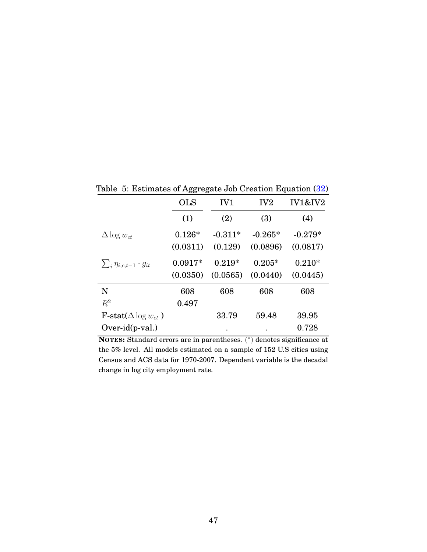<span id="page-47-0"></span>

|                                      | oo<br>-0.  |                 |                 |                    |
|--------------------------------------|------------|-----------------|-----------------|--------------------|
|                                      | <b>OLS</b> | IV <sub>1</sub> | IV <sub>2</sub> | <b>IV1&amp;IV2</b> |
|                                      | (1)        | (2)             | (3)             | (4)                |
| $\Delta \log w_{ct}$                 | $0.126*$   | $-0.311*$       | $-0.265*$       | $-0.279*$          |
|                                      | (0.0311)   | (0.129)         | (0.0896)        | (0.0817)           |
| $\sum_i \eta_{i,c,t-1} \cdot g_{it}$ | $0.0917*$  | $0.219*$        | $0.205*$        | $0.210*$           |
|                                      | (0.0350)   | (0.0565)        | (0.0440)        | (0.0445)           |
| N                                    | 608        | 608             | 608             | 608                |
| $R^2$                                | 0.497      |                 |                 |                    |
| $\text{F-stat}(\Delta \log w_{ct})$  |            | 33.79           | 59.48           | 39.95              |
| $Over-id(p-val.)$                    |            |                 |                 | 0.728              |

Table 5: Estimates of Aggregate Job Creation Equation [\(32\)](#page-25-2)

**NOTES:** Standard errors are in parentheses. ( ∗ ) denotes significance at the 5% level. All models estimated on a sample of 152 U.S cities using Census and ACS data for 1970-2007. Dependent variable is the decadal change in log city employment rate.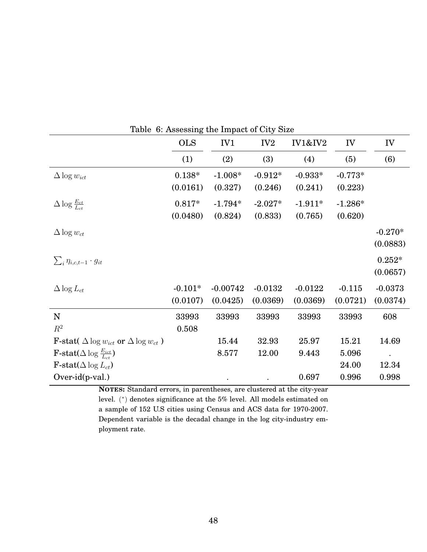|                                                                 |            |                 | Lable 0. Assessing the impact of Oly Dize |                    |           |           |
|-----------------------------------------------------------------|------------|-----------------|-------------------------------------------|--------------------|-----------|-----------|
|                                                                 | <b>OLS</b> | IV <sub>1</sub> | IV <sub>2</sub>                           | <b>IV1&amp;IV2</b> | IV        | IV        |
|                                                                 | (1)        | (2)             | (3)                                       | (4)                | (5)       | (6)       |
| $\Delta \log w_{ict}$                                           | $0.138*$   | $-1.008*$       | $-0.912*$                                 | $-0.933*$          | $-0.773*$ |           |
|                                                                 | (0.0161)   | (0.327)         | (0.246)                                   | (0.241)            | (0.223)   |           |
| $\Delta \log \frac{E_{ct}}{L_{ct}}$                             | $0.817*$   | $-1.794*$       | $-2.027*$                                 | $-1.911*$          | $-1.286*$ |           |
|                                                                 | (0.0480)   | (0.824)         | (0.833)                                   | (0.765)            | (0.620)   |           |
| $\Delta \log w_{ct}$                                            |            |                 |                                           |                    |           | $-0.270*$ |
|                                                                 |            |                 |                                           |                    |           | (0.0883)  |
| $\sum_i \eta_{i,c,t-1} \cdot g_{it}$                            |            |                 |                                           |                    |           | $0.252*$  |
|                                                                 |            |                 |                                           |                    |           | (0.0657)  |
| $\Delta \log L_{ct}$                                            | $-0.101*$  | $-0.00742$      | $-0.0132$                                 | $-0.0122$          | $-0.115$  | $-0.0373$ |
|                                                                 | (0.0107)   | (0.0425)        | (0.0369)                                  | (0.0369)           | (0.0721)  | (0.0374)  |
| $\mathbf N$                                                     | 33993      | 33993           | 33993                                     | 33993              | 33993     | 608       |
| $R^2$                                                           | 0.508      |                 |                                           |                    |           |           |
| <b>F</b> -stat( $\Delta \log w_{ict}$ or $\Delta \log w_{ct}$ ) |            | 15.44           | 32.93                                     | 25.97              | 15.21     | 14.69     |
| <b>F</b> -stat( $\Delta$ log $\frac{E_{ict}}{L_{c}t}$ )         |            | 8.577           | 12.00                                     | 9.443              | 5.096     | $\bullet$ |
| $\textbf{F-stat}(\Delta \log L_{ct})$                           |            |                 |                                           |                    | 24.00     | 12.34     |
| $Over-id(p-val.)$                                               |            |                 |                                           | 0.697              | 0.996     | 0.998     |

<span id="page-48-0"></span>Table 6: Assessing the Impact of City Size

**NOTES:** Standard errors, in parentheses, are clustered at the city-year level. ( ∗ ) denotes significance at the 5% level. All models estimated on a sample of 152 U.S cities using Census and ACS data for 1970-2007. Dependent variable is the decadal change in the log city-industry employment rate.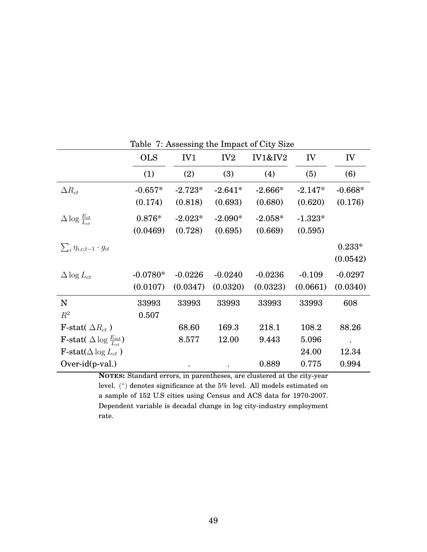|                                                         | <b>OLS</b> | IV1       | IV <sub>2</sub> | <b>IV1&amp;IV2</b> | IV        | IV        |
|---------------------------------------------------------|------------|-----------|-----------------|--------------------|-----------|-----------|
|                                                         | (1)        | (2)       | (3)             | (4)                | (5)       | (6)       |
| $\Delta R_{ct}$                                         | $-0.657*$  | $-2.723*$ | $-2.641*$       | $-2.666*$          | $-2.147*$ | $-0.668*$ |
|                                                         | (0.174)    | (0.818)   | (0.693)         | (0.680)            | (0.620)   | (0.176)   |
| $\Delta \log \frac{E_{ct}}{L_{ct}}$                     | $0.876*$   | $-2.023*$ | $-2.090*$       | $-2.058*$          | $-1.323*$ |           |
|                                                         | (0.0469)   | (0.728)   | (0.695)         | (0.669)            | (0.595)   |           |
| $\sum_i \eta_{i,c,t-1} \cdot g_{it}$                    |            |           |                 |                    |           | $0.233*$  |
|                                                         |            |           |                 |                    |           | (0.0542)  |
| $\Delta \log L_{ct}$                                    | $-0.0780*$ | $-0.0226$ | $-0.0240$       | $-0.0236$          | $-0.109$  | $-0.0297$ |
|                                                         | (0.0107)   | (0.0347)  | (0.0320)        | (0.0323)           | (0.0661)  | (0.0340)  |
| N                                                       | 33993      | 33993     | 33993           | 33993              | 33993     | 608       |
| $R^2$                                                   | 0.507      |           |                 |                    |           |           |
| <b>F</b> -stat( $\Delta R_{ct}$ )                       |            | 68.60     | 169.3           | 218.1              | 108.2     | 88.26     |
| <b>F</b> -stat( $\Delta \log \frac{E_{ict}}{L_{tot}}$ ) |            | 8.577     | 12.00           | 9.443              | 5.096     |           |
| F-stat( $\Delta \log L_{ct}$ )                          |            |           |                 |                    | 24.00     | 12.34     |
| $Over-id(p-val.)$                                       |            |           |                 | 0.889              | 0.775     | 0.994     |

<span id="page-49-0"></span>Table 7: Assessing the Impact of City Size

**NOTES:** Standard errors, in parentheses, are clustered at the city-year level. ( ∗ ) denotes significance at the 5% level. All models estimated on a sample of 152 U.S cities using Census and ACS data for 1970-2007. Dependent variable is decadal change in log city-industry employment rate.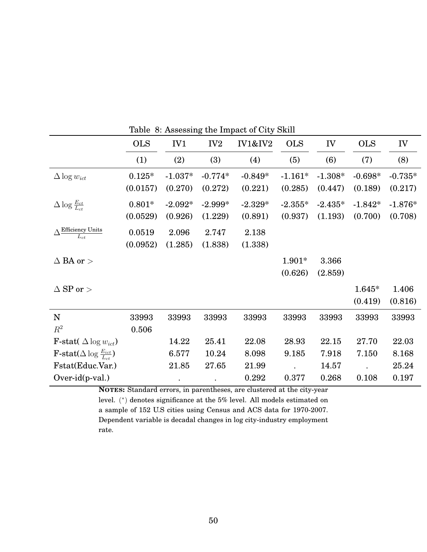|                                                         | <b>OLS</b> | IV1       | IV <sub>2</sub> | <b>IV1&amp;IV2</b> | <b>OLS</b> | IV        | <b>OLS</b> | IV        |
|---------------------------------------------------------|------------|-----------|-----------------|--------------------|------------|-----------|------------|-----------|
|                                                         | (1)        | (2)       | (3)             | (4)                | (5)        | (6)       | (7)        | (8)       |
| $\Delta \log w_{ict}$                                   | $0.125*$   | $-1.037*$ | $-0.774*$       | $-0.849*$          | $-1.161*$  | $-1.308*$ | $-0.698*$  | $-0.735*$ |
|                                                         | (0.0157)   | (0.270)   | (0.272)         | (0.221)            | (0.285)    | (0.447)   | (0.189)    | (0.217)   |
| $\Delta \log \frac{E_{ct}}{L_{ct}}$                     | $0.801*$   | $-2.092*$ | $-2.999*$       | $-2.329*$          | $-2.355*$  | $-2.435*$ | $-1.842*$  | $-1.876*$ |
|                                                         | (0.0529)   | (0.926)   | (1.229)         | (0.891)            | (0.937)    | (1.193)   | (0.700)    | (0.708)   |
| $\Delta \frac{\rm Efficiency~ Units}{L_{ct}}$           | 0.0519     | 2.096     | 2.747           | 2.138              |            |           |            |           |
|                                                         | (0.0952)   | (1.285)   | (1.838)         | (1.338)            |            |           |            |           |
| $\Delta$ BA or $>$                                      |            |           |                 |                    | $1.901*$   | 3.366     |            |           |
|                                                         |            |           |                 |                    | (0.626)    | (2.859)   |            |           |
| $\Delta$ SP or $>$                                      |            |           |                 |                    |            |           | $1.645*$   | 1.406     |
|                                                         |            |           |                 |                    |            |           | (0.419)    | (0.816)   |
| $\mathbf N$                                             | 33993      | 33993     | 33993           | 33993              | 33993      | 33993     | 33993      | 33993     |
| $R^2$                                                   | 0.506      |           |                 |                    |            |           |            |           |
| <b>F</b> -stat( $\Delta \log w_{ict}$ )                 |            | 14.22     | 25.41           | 22.08              | 28.93      | 22.15     | 27.70      | 22.03     |
| <b>F</b> -stat( $\Delta$ log $\frac{E_{ict}}{L_{c}t}$ ) |            | 6.577     | 10.24           | 8.098              | 9.185      | 7.918     | 7.150      | 8.168     |
| Fstat(Educ.Var.)                                        |            | 21.85     | 27.65           | 21.99              |            | 14.57     |            | 25.24     |
| $Over-id(p-val.)$                                       |            |           |                 | 0.292              | 0.377      | 0.268     | 0.108      | 0.197     |

<span id="page-50-0"></span>Table 8: Assessing the Impact of City Skill

**NOTES:** Standard errors, in parentheses, are clustered at the city-year

level. ( ∗ ) denotes significance at the 5% level. All models estimated on a sample of 152 U.S cities using Census and ACS data for 1970-2007. Dependent variable is decadal changes in log city-industry employment rate.